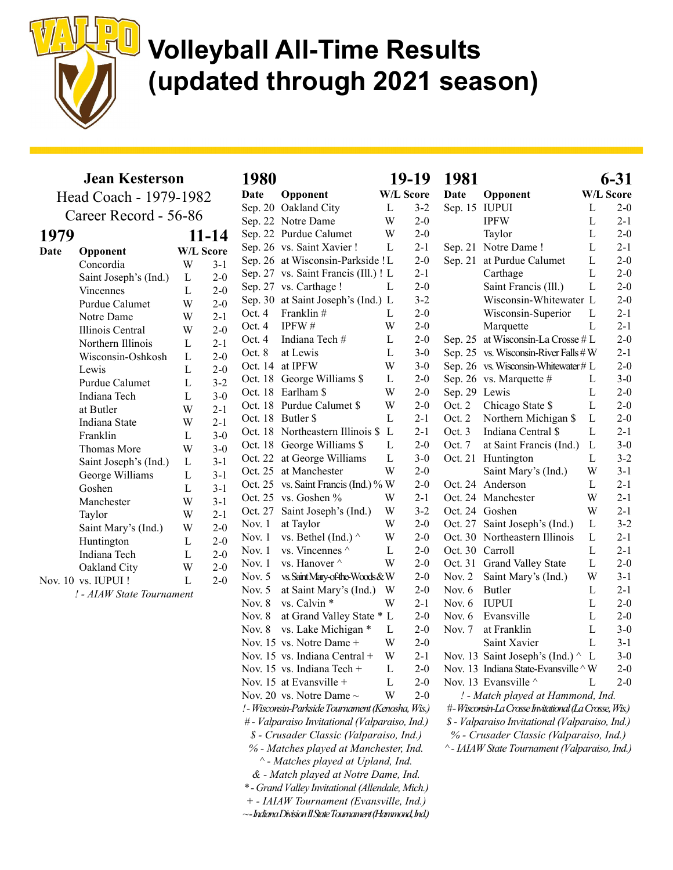

|      | <b>Jean Kesterson</b>     | 1980           |                  |          |                             |  |
|------|---------------------------|----------------|------------------|----------|-----------------------------|--|
|      | Head Coach - 1979-1982    | Date           | Opponent         |          |                             |  |
|      | Career Record - 56-86     |                |                  | Sep. 20  | Oakland City                |  |
|      |                           |                |                  | Sep. 22  | Notre Dame                  |  |
| 1979 |                           |                | 11-14            |          | Sep. 22 Purdue Calum        |  |
| Date | Opponent                  |                | <b>W/L Score</b> |          | Sep. 26 vs. Saint Xavi      |  |
|      | Concordia                 | W              | $3-1$            | Sep. 26  | at Wisconsin-1              |  |
|      | Saint Joseph's (Ind.)     | L              | $2 - 0$          | Sep. 27  | vs. Saint Fran              |  |
|      | Vincennes                 | $\overline{L}$ | $2 - 0$          | Sep. 27  | vs. Carthage !              |  |
|      | Purdue Calumet            | W              | $2 - 0$          | Sep. 30  | at Saint Josepl             |  |
|      | Notre Dame                | W              | $2 - 1$          | Oct. 4   | Franklin#                   |  |
|      | Illinois Central          | W              | $2 - 0$          | Oct. 4   | IPFW#                       |  |
|      | Northern Illinois         | $\mathbf{L}$   | $2 - 1$          | Oct. 4   | Indiana Tech ?              |  |
|      | Wisconsin-Oshkosh         | L              | $2 - 0$          | Oct. 8   | at Lewis                    |  |
|      | Lewis                     | L              | $2 - 0$          | Oct. 14  | at IPFW                     |  |
|      | Purdue Calumet            | L              | $3 - 2$          |          | Oct. 18 George Willia       |  |
|      | Indiana Tech              | L              | $3-0$            |          | Oct. 18 Earlham \$          |  |
|      | at Butler                 | W              | $2 - 1$          | Oct. 18  | Purdue Calum                |  |
|      | Indiana State             | W              | $2 - 1$          |          | Oct. 18 Butler \$           |  |
|      | Franklin                  | L              | $3 - 0$          |          | Oct. 18 Northeastern l      |  |
|      | Thomas More               | W              | $3 - 0$          | Oct. 18  | George Willia               |  |
|      | Saint Joseph's (Ind.)     | $\mathbf L$    | $3 - 1$          | Oct. 22  | at George Wil               |  |
|      | George Williams           | L              | $3-1$            | Oct. 25  | at Manchester               |  |
|      | Goshen                    | L              | $3 - 1$          | Oct. 25  | vs. Saint Franci            |  |
|      | Manchester                | W              | $3 - 1$          | Oct. 25  | vs. Goshen %                |  |
|      | Taylor                    | W              | $2 - 1$          | Oct. 27  | Saint Joseph's              |  |
|      | Saint Mary's (Ind.)       | W              | $2 - 0$          | Nov. 1   | at Taylor                   |  |
|      | Huntington                | $\mathbf L$    | $2 - 0$          | Nov. 1   | vs. Bethel (Ind             |  |
|      | Indiana Tech              | L              | $2 - 0$          | Nov. $1$ | vs. Vincennes               |  |
|      | Oakland City              | W              | $2 - 0$          | Nov. 1   | vs. Hanover ^               |  |
|      | Nov. 10 vs. IUPUI!        | L              | $2 - 0$          | Nov. 5   | vs. Saint Mary-of-th        |  |
|      | ! - AIAW State Tournament |                |                  | Nov. $5$ | at Saint Mary               |  |
|      |                           |                |                  | Nov. 8   | vs. Calvin *                |  |
|      |                           |                |                  | Nov. $8$ | at Grand Valle              |  |
|      |                           |                |                  | Nov. 8   | vs. Lake Mich               |  |
|      |                           |                |                  |          | Nov. 15 vs. Notre Dan       |  |
|      |                           |                |                  |          | Nov. 15 vs. Indiana Ce      |  |
|      |                           |                |                  |          | Nov. 15 vs. Indiana Te      |  |
|      |                           |                |                  |          | Nov. 15 at Evansville -     |  |
|      |                           |                |                  |          | Nov. 20 vs. Notre Dan       |  |
|      |                           |                |                  |          | ! - Wisconsin-Parkside Tour |  |
|      |                           |                |                  |          |                             |  |

| Sep. 22  | Notre Dame                                                   | W | $2 - 0$ |
|----------|--------------------------------------------------------------|---|---------|
| Sep. 22  | Purdue Calumet                                               | W | $2 - 0$ |
| Sep. 26  | vs. Saint Xavier !                                           | L | $2 - 1$ |
| Sep. 26  | at Wisconsin-Parkside ! L                                    |   | $2 - 0$ |
| Sep. 27  | vs. Saint Francis (Ill.) ! L                                 |   | $2 - 1$ |
| Sep. 27  | vs. Carthage !                                               | L | $2 - 0$ |
| Sep. 30  | at Saint Joseph's (Ind.) L                                   |   | $3 - 2$ |
| Oct. 4   | Franklin#                                                    | L | $2 - 0$ |
| Oct. 4   | IPFW#                                                        | W | $2 - 0$ |
| Oct. 4   | Indiana Tech#                                                | L | $2 - 0$ |
| Oct. 8   | at Lewis                                                     | L | $3 - 0$ |
| Oct. 14  | at IPFW                                                      | W | $3-0$   |
| Oct. 18  | George Williams \$                                           | L | $2 - 0$ |
| Oct. 18  | Earlham \$                                                   | W | $2 - 0$ |
| Oct. 18  | Purdue Calumet \$                                            | W | $2-0$   |
| Oct. 18  | Butler \$                                                    | L | $2-1$   |
| Oct. 18  | Northeastern Illinois \$                                     | L | $2 - 1$ |
| Oct. 18  | George Williams \$                                           | L | $2 - 0$ |
| Oct. 22  | at George Williams                                           | L | $3 - 0$ |
| Oct. 25  | at Manchester                                                | W | $2 - 0$ |
| Oct. 25  | vs. Saint Francis (Ind.) % W                                 |   | $2 - 0$ |
| Oct. 25  | vs. Goshen %                                                 | W | $2 - 1$ |
| Oct. 27  | Saint Joseph's (Ind.)                                        | W | $3 - 2$ |
| Nov. 1   | at Taylor                                                    | W | $2-0$   |
| Nov. 1   | vs. Bethel (Ind.) ^                                          | W | $2 - 0$ |
| Nov. 1   | vs. Vincennes $\wedge$                                       | L | $2 - 0$ |
| Nov. $1$ | vs. Hanover ^                                                | W | $2 - 0$ |
| Nov. 5   | vs. Saint Mary-of-the-Woods & W                              |   | $2 - 0$ |
| Nov. $5$ | at Saint Mary's (Ind.)                                       | W | $2 - 0$ |
| Nov. $8$ | vs. Calvin *                                                 | W | $2-1$   |
| Nov. $8$ | at Grand Valley State *                                      | L | $2 - 0$ |
| Nov. $8$ | vs. Lake Michigan *                                          | L | $2 - 0$ |
| Nov. 15  | vs. Notre Dame +                                             | W | $2 - 0$ |
| Nov. 15  | vs. Indiana Central +                                        | W | $2 - 1$ |
|          | Nov. 15 vs. Indiana Tech +                                   | L | $2 - 0$ |
| Nov. 15  | at Evansville +                                              | L | $2 - 0$ |
|          | Nov. 20 vs. Notre Dame $\sim$                                | W | $2 - 0$ |
|          | ! - Wisconsin-Parkside Tournament (Kenosha, Wis.)            |   |         |
|          | # - Valparaiso Invitational (Valparaiso, Ind.)               |   |         |
|          | \$ - Crusader Classic (Valparaiso, Ind.)                     |   |         |
|          | % - Matches played at Manchester, Ind.                       |   |         |
|          | ^ - Matches played at Upland, Ind.                           |   |         |
|          | & - Match played at Notre Dame, Ind.                         |   |         |
|          | *- Grand Valley Invitational (Allendale, Mich.)              |   |         |
|          | + - IAIAW Tournament (Evansville, Ind.)                      |   |         |
|          | $\sim$ -Indiana Division II State Tournament (Hammond, Ind.) |   |         |
|          |                                                              |   |         |

|                                    |   | 19-19            | 1981            |                                                      |                  | $6 - 31$ |
|------------------------------------|---|------------------|-----------------|------------------------------------------------------|------------------|----------|
| ponent                             |   | <b>W/L Score</b> | Date            | Opponent                                             | <b>W/L Score</b> |          |
| cland City                         | L | $3 - 2$          | Sep. 15         | <b>IUPUI</b>                                         | L                | $2 - 0$  |
| re Dame                            | W | $2 - 0$          |                 | <b>IPFW</b>                                          | $\overline{L}$   | $2 - 1$  |
| due Calumet                        | W | $2 - 0$          |                 | Taylor                                               | $\mathbf L$      | $2 - 0$  |
| Saint Xavier!                      | L | $2 - 1$          |                 | Sep. 21 Notre Dame !                                 | $\mathbf L$      | $2 - 1$  |
| Visconsin-Parkside!L               |   | $2 - 0$          |                 | Sep. 21 at Purdue Calumet                            | L                | $2 - 0$  |
| Saint Francis (Ill.) ! L           |   | $2-1$            |                 | Carthage                                             | L                | $2 - 0$  |
| Carthage!                          | L | $2 - 0$          |                 | Saint Francis (Ill.)                                 | L                | $2 - 0$  |
| aint Joseph's (Ind.) L             |   | $3-2$            |                 | Wisconsin-Whitewater L                               |                  | $2 - 0$  |
| nklin #                            | L | $2 - 0$          |                 | Wisconsin-Superior                                   | L                | $2 - 1$  |
| W#                                 | W | $2-0$            |                 | Marquette                                            | L                | $2 - 1$  |
| iana Tech #                        | L | $2 - 0$          | Sep. 25         | at Wisconsin-La Crosse # L                           |                  | $2 - 0$  |
| ewis                               | L | $3-0$            |                 | Sep. 25 vs. Wisconsin-River Falls # W                |                  | $2 - 1$  |
| PFW                                | W | $3 - 0$          |                 | Sep. 26 vs. Wisconsin-Whitewater # L                 |                  | $2 - 0$  |
| orge Williams \$                   | L | $2 - 0$          |                 | Sep. 26 vs. Marquette #                              | L                | $3-0$    |
| lham \$                            | W | $2 - 0$          | Sep. 29 Lewis   |                                                      | L                | $2-0$    |
| due Calumet \$                     | W | $2 - 0$          | Oct. $2$        | Chicago State \$                                     | $\overline{L}$   | $2 - 0$  |
| ler \$                             | L | $2 - 1$          | Oct. $2$        | Northern Michigan \$                                 | L                | $2 - 0$  |
| theastern Illinois \$              | L | $2 - 1$          | Oct. $3$        | Indiana Central \$                                   | L                | $2 - 1$  |
| orge Williams \$                   | L | $2 - 0$          | Oct. 7          | at Saint Francis (Ind.)                              | L                | $3-0$    |
| George Williams                    | L | $3-0$            | Oct. 21         | Huntington                                           | L                | $3-2$    |
| ⁄lanchester                        | W | $2 - 0$          |                 | Saint Mary's (Ind.)                                  | W                | $3-1$    |
| Saint Francis (Ind.) % W           |   | $2 - 0$          | Oct. 24         | Anderson                                             | L                | $2-1$    |
| Goshen %                           | W | $2 - 1$          |                 | Oct. 24 Manchester                                   | W                | $2 - 1$  |
| nt Joseph's (Ind.)                 | W | $3 - 2$          |                 | Oct. 24 Goshen                                       | W                | $2 - 1$  |
| aylor                              | W | $2 - 0$          | Oct. 27         | Saint Joseph's (Ind.)                                | $\mathbf L$      | $3 - 2$  |
| Bethel (Ind.) $\wedge$             | W | $2 - 0$          |                 | Oct. 30 Northeastern Illinois                        | $\mathbf L$      | $2 - 1$  |
| Vincennes $\wedge$                 | L | $2 - 0$          | Oct. 30 Carroll |                                                      | $\overline{L}$   | $2 - 1$  |
| Hanover ^                          | W | $2 - 0$          |                 | Oct. 31 Grand Valley State                           | L                | $2 - 0$  |
| aintMary-of-the-Woods&W            |   | $2 - 0$          | Nov. $2$        | Saint Mary's (Ind.)                                  | W                | $3 - 1$  |
| aint Mary's (Ind.)                 | W | $2 - 0$          | Nov. $6$        | Butler                                               | L                | $2 - 1$  |
| Calvin <sup>*</sup>                | W | $2 - 1$          | Nov. 6          | <b>IUPUI</b>                                         | $\overline{L}$   | $2 - 0$  |
| Grand Valley State * L             |   | $2 - 0$          | Nov. 6          | Evansville                                           | $\mathbf L$      | $2 - 0$  |
| Lake Michigan *                    | L | $2 - 0$          | Nov. 7          | at Franklin                                          | $\mathbf L$      | $3-0$    |
| Notre Dame +                       | W | $2 - 0$          |                 | Saint Xavier                                         | L                | $3-1$    |
| Indiana Central +                  | W | $2 - 1$          |                 | Nov. 13 Saint Joseph's (Ind.) $\wedge$               | L                | $3-0$    |
| Indiana Tech +                     | L | $2 - 0$          |                 | Nov. 13 Indiana State-Evansville $\wedge$ W          |                  | $2 - 0$  |
| cvansville +                       | L | $2 - 0$          |                 | Nov. 13 Evansville $\wedge$                          | L                | $2-0$    |
| Notre Dame $\sim$                  | W | $2 - 0$          |                 | ! - Match played at Hammond, Ind.                    |                  |          |
| arkside Tournament (Kenosha, Wis.) |   |                  |                 | #-Wisconsin-La Crosse Invitational (La Crosse, Wis.) |                  |          |
| o Invitational (Valparaiso, Ind.)  |   |                  |                 | \$ - Valparaiso Invitational (Valparaiso, Ind.)      |                  |          |
| er Classic (Valparaiso, Ind.)      |   |                  |                 | % - Crusader Classic (Valparaiso, Ind.)              |                  |          |

^ - IAIAW State Tournament (Valparaiso, Ind.)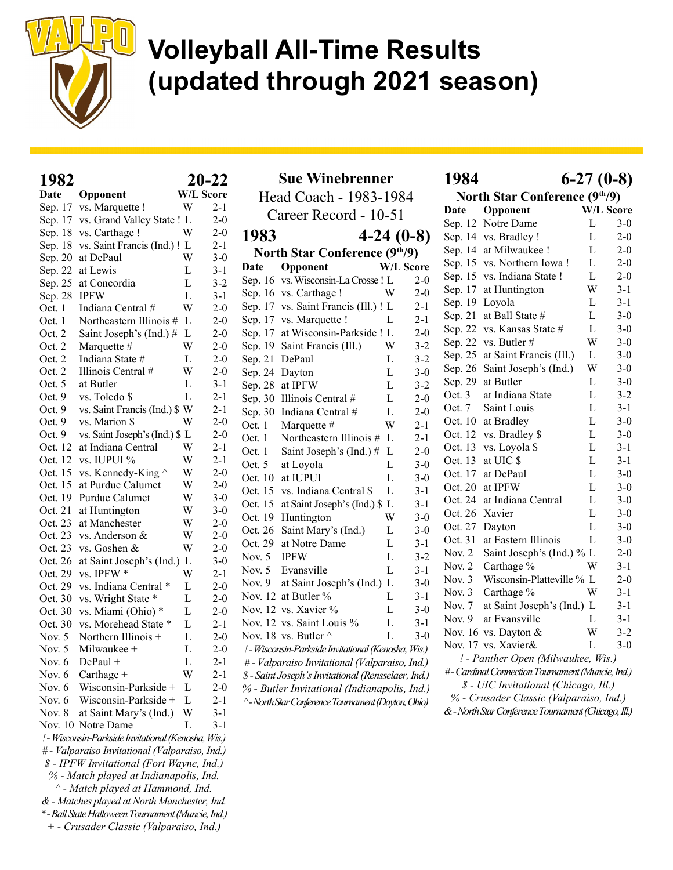

Sue Winebrenner Head Coach - 1983-1984 Career Record - 10-51 1983 4-24 (0-8) North Star Conference (9th/9)

#### $1982$  20.22

| ▴◞◡<br>Date | Opponent                                            |   |                      |  |  |  |  |  |  |
|-------------|-----------------------------------------------------|---|----------------------|--|--|--|--|--|--|
| Sep. 17     | vs. Marquette !                                     | W | W/L Score<br>$2 - 1$ |  |  |  |  |  |  |
| Sep. 17     | vs. Grand Valley State !                            | L | $2 - 0$              |  |  |  |  |  |  |
| Sep. 18     | vs. Carthage !                                      | W | $2-0$                |  |  |  |  |  |  |
| Sep. 18     | vs. Saint Francis (Ind.) !                          | L | 2-1                  |  |  |  |  |  |  |
| Sep. 20     | at DePaul                                           | W | $3-0$                |  |  |  |  |  |  |
| Sep. 22     | at Lewis                                            | L | $3-1$                |  |  |  |  |  |  |
| Sep. 25     | at Concordia                                        | L | $3-2$                |  |  |  |  |  |  |
| Sep. 28     | <b>IPFW</b>                                         | L | $3-1$                |  |  |  |  |  |  |
| Oct. 1      | Indiana Central #                                   | W | $2-0$                |  |  |  |  |  |  |
| Oct. 1      | Northeastern Illinois #                             | L | $2-0$                |  |  |  |  |  |  |
| Oct. 2      | Saint Joseph's (Ind.) #                             | L | $2 - 0$              |  |  |  |  |  |  |
| Oct. 2      | Marquette #                                         | W | $2-0$                |  |  |  |  |  |  |
| Oct. 2      | Indiana State #                                     | L | $2 - 0$              |  |  |  |  |  |  |
| Oct. 2      | Illinois Central #                                  | W | $2 - 0$              |  |  |  |  |  |  |
| Oct. 5      | at Butler                                           | L | 3-1                  |  |  |  |  |  |  |
| Oct. 9      | vs. Toledo \$                                       | L | 2-1                  |  |  |  |  |  |  |
| Oct. 9      | vs. Saint Francis (Ind.) \$ W                       |   | $2-1$                |  |  |  |  |  |  |
| Oct. 9      | vs. Marion \$                                       | W | $2-0$                |  |  |  |  |  |  |
| Oct. 9      | vs. Saint Joseph's (Ind.) \$ L                      |   | $2-0$                |  |  |  |  |  |  |
| Oct. 12     | at Indiana Central                                  | W | $2-1$                |  |  |  |  |  |  |
| Oct. 12     | vs. IUPUI %                                         | W | $2-1$                |  |  |  |  |  |  |
| Oct. 15     | vs. Kennedy-King $\wedge$                           | W | $2 - 0$              |  |  |  |  |  |  |
| Oct. 15     | at Purdue Calumet                                   | W | $2 - 0$              |  |  |  |  |  |  |
| Oct. 19     | Purdue Calumet                                      | W | $3-0$                |  |  |  |  |  |  |
| Oct. 21     | at Huntington                                       | W | $3-0$                |  |  |  |  |  |  |
| Oct. 23     | at Manchester                                       | W | $2 - 0$              |  |  |  |  |  |  |
| Oct. 23     | vs. Anderson &                                      | W | $2-0$                |  |  |  |  |  |  |
| Oct. 23     | vs. Goshen &                                        | W | $2-0$                |  |  |  |  |  |  |
| Oct. 26     | at Saint Joseph's (Ind.)                            | L | $3-0$                |  |  |  |  |  |  |
| Oct. 29     | vs. IPFW *                                          | W | $2-1$                |  |  |  |  |  |  |
| Oct. 29     | vs. Indiana Central *                               | L | $2-0$                |  |  |  |  |  |  |
| Oct. 30     | vs. Wright State *                                  | L | $2 - 0$              |  |  |  |  |  |  |
| Oct. 30     | vs. Miami (Ohio) *                                  | L | $2-0$                |  |  |  |  |  |  |
| Oct. 30     | vs. Morehead State *                                | L | $2 - 1$              |  |  |  |  |  |  |
| Nov. 5      | Northern Illinois +                                 | L | $2-0$                |  |  |  |  |  |  |
| Nov. $5$    | Milwaukee +                                         | L | $2 - 0$              |  |  |  |  |  |  |
| Nov. 6      | $DePaul +$                                          | L | 2-1                  |  |  |  |  |  |  |
| Nov. 6      | Carthage +                                          | W | 2-1                  |  |  |  |  |  |  |
| Nov. 6      | Wisconsin-Parkside +                                | L | $2-0$                |  |  |  |  |  |  |
| Nov. 6      | Wisconsin-Parkside +                                | L | $2 - 1$              |  |  |  |  |  |  |
| Nov. 8      | at Saint Mary's (Ind.)                              | W | $3 - 1$              |  |  |  |  |  |  |
| Nov. 10     | Notre Dame                                          | L | 3-1                  |  |  |  |  |  |  |
|             | ! - Wisconsin-Parkside Invitational (Kenosha, Wis.) |   |                      |  |  |  |  |  |  |
|             | # - Valparaiso Invitational (Valparaiso, Ind.)      |   |                      |  |  |  |  |  |  |
|             | \$ - IPFW Invitational (Fort Wayne, Ind.)           |   |                      |  |  |  |  |  |  |
|             | % - Match played at Indianapolis, Ind.              |   |                      |  |  |  |  |  |  |
|             | ^ - Match played at Hammond, Ind.                   |   |                      |  |  |  |  |  |  |
|             | & - Matches played at North Manchester, Ind.        |   |                      |  |  |  |  |  |  |

Date Opponent W/L Score Sep. 16 vs. Wisconsin-La Crosse !  $L = 2-0$ Sep. 16 vs. Carthage ! W 2-0 Sep. 17 vs. Saint Francis (Ill.) ! L 2-1 Sep. 17 vs. Marquette ! L 2-1 Sep. 17 at Wisconsin-Parkside ! L 2-0 Sep. 19 Saint Francis (Ill.) W 3-2 Sep. 21 DePaul L 3-2 Sep. 24 Dayton L 3-0 Sep. 28 at IPFW L 3-2 Sep. 30 Illinois Central  $\#$  L 2-0 Sep. 30 Indiana Central  $\#$  L 2-0 Oct. 1 Marquette  $\#$  W 2-1 Oct. 1 Northeastern Illinois  $# L$  2-1 Oct. 1 Saint Joseph's (Ind.)  $\#$  L 2-0 Oct. 5 at Loyola L 3-0 Oct. 10 at IUPUI L 3-0 Oct. 15 vs. Indiana Central \$ L 3-1 Oct. 15 at Saint Joseph's (Ind.)  $$ L 3-1$ Oct. 19 Huntington W 3-0 Oct. 26 Saint Mary's (Ind.) L 3-0 Oct. 29 at Notre Dame L 3-1 Nov. 5 IPFW L 3-2 Nov. 5 Evansville L 3-1 Nov. 9 at Saint Joseph's (Ind.) L 3-0 Nov. 12 at Butler % L 3-1 Nov. 12 vs. Xavier % L 3-0 Nov. 12 vs. Saint Louis % L 3-1 Nov. 18 vs. Butler  $\wedge$  L 3-0 ! - Wisconsin-Parkside Invitational (Kenosha, Wis.) # - Valparaiso Invitational (Valparaiso, Ind.) \$ - Saint Joseph's Invitational (Rensselaer, Ind.) % - Butler Invitational (Indianapolis, Ind.) ^ - North Star Conference Tournament (Dayton, Ohio)

#### 1984 6-27 (0-8)

|          | North Star Conference (9th/9)      |                |                  |
|----------|------------------------------------|----------------|------------------|
| Date     | Opponent                           |                | <b>W/L Score</b> |
| Sep. 12  | Notre Dame                         | L              | $3-0$            |
| Sep. 14  | vs. Bradley !                      | L              | $2 - 0$          |
| Sep. 14  | at Milwaukee !                     | L              | $2 - 0$          |
| Sep. 15  | vs. Northern Iowa!                 | L              | $2 - 0$          |
| Sep. 15  | vs. Indiana State !                | L              | $2 - 0$          |
| Sep. 17  | at Huntington                      | W              | $3 - 1$          |
| Sep. 19  | Loyola                             | L              | $3 - 1$          |
| Sep. 21  | at Ball State #                    | L              | $3 - 0$          |
| Sep. 22  | vs. Kansas State #                 | L              | $3-0$            |
| Sep. 22  | vs. Butler #                       | W              | $3-0$            |
| Sep. 25  | at Saint Francis (Ill.)            | L              | $3-0$            |
| Sep. 26  | Saint Joseph's (Ind.)              | W              | $3 - 0$          |
| Sep. 29  | at Butler                          | L              | $3 - 0$          |
| Oct. 3   | at Indiana State                   | L              | $3 - 2$          |
| Oct.7    | Saint Louis                        | L              | $3-1$            |
| Oct. 10  | at Bradley                         | L              | $3-0$            |
| Oct. 12  | vs. Bradley \$                     | L              | $3-0$            |
| Oct. 13  | vs. Loyola \$                      | L              | $3-1$            |
| Oct. 13  | at UIC \$                          | L              | $3-1$            |
| Oct. 17  | at DePaul                          | L              | $3 - 0$          |
| Oct. 20  | at IPFW                            | L              | $3 - 0$          |
| Oct. 24  | at Indiana Central                 | L              | $3-0$            |
| Oct. 26  | Xavier                             | L              | $3-0$            |
| Oct. 27  | Dayton                             | $\overline{L}$ | $3-0$            |
| Oct. 31  | at Eastern Illinois                | L              | $3 - 0$          |
| Nov. $2$ | Saint Joseph's (Ind.) % L          |                | $2 - 0$          |
| Nov. $2$ | Carthage %                         | W              | $3 - 1$          |
| Nov. $3$ | Wisconsin-Platteville %            | L              | $2 - 0$          |
| Nov. $3$ | Carthage %                         | W              | $3-1$            |
| Nov. 7   | at Saint Joseph's (Ind.) L         |                | $3 - 1$          |
| Nov. $9$ | at Evansville                      | L              | $3 - 1$          |
| Nov. 16  | vs. Dayton &                       | W              | $3-2$            |
|          | Nov. 17 vs. Xavier&                | L              | $3 - 0$          |
|          | ! - Panther Open (Milwaukee, Wis.) |                |                  |

# - Cardinal Connection Tournament (Muncie, Ind.) \$ - UIC Invitational (Chicago, Ill.) % - Crusader Classic (Valparaiso, Ind.) & - North Star Conference Tournament (Chicago, Ill.)

\* - Ball State Halloween Tournament (Muncie, Ind.) + - Crusader Classic (Valparaiso, Ind.)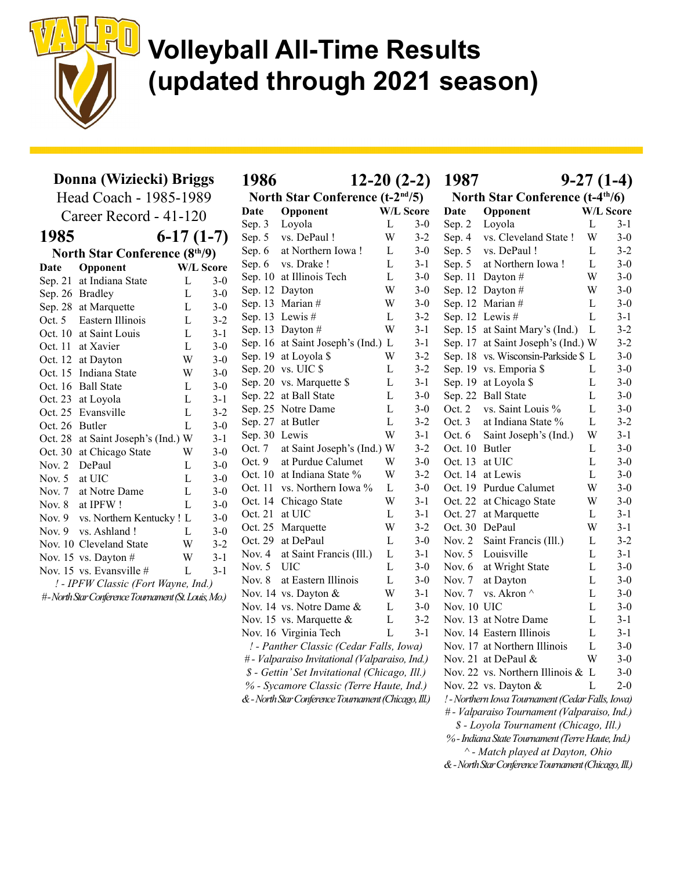

| Donna (Wiziecki) Briggs |                                                     |                  |         |  |  |  |  |  |  |  |  |  |
|-------------------------|-----------------------------------------------------|------------------|---------|--|--|--|--|--|--|--|--|--|
| Head Coach - 1985-1989  |                                                     |                  |         |  |  |  |  |  |  |  |  |  |
| Career Record - 41-120  |                                                     |                  |         |  |  |  |  |  |  |  |  |  |
| 1985                    | $6-17(1-7)$                                         |                  |         |  |  |  |  |  |  |  |  |  |
|                         | <b>North Star Conference (8th/9)</b>                |                  |         |  |  |  |  |  |  |  |  |  |
| Date                    | Opponent                                            | <b>W/L Score</b> |         |  |  |  |  |  |  |  |  |  |
| Sep. 21                 | at Indiana State                                    | L                | $3 - 0$ |  |  |  |  |  |  |  |  |  |
| Sep. 26                 | <b>Bradley</b>                                      | L                | $3-0$   |  |  |  |  |  |  |  |  |  |
| Sep. 28                 | at Marquette                                        | L                | $3-0$   |  |  |  |  |  |  |  |  |  |
| Oct. $5$                | Eastern Illinois                                    | L                | $3 - 2$ |  |  |  |  |  |  |  |  |  |
| Oct. 10                 | at Saint Louis                                      | L                | $3 - 1$ |  |  |  |  |  |  |  |  |  |
| Oct. 11                 | at Xavier                                           | L                | $3-0$   |  |  |  |  |  |  |  |  |  |
| Oct. 12                 | at Dayton                                           | W                | $3-0$   |  |  |  |  |  |  |  |  |  |
| Oct. 15                 | Indiana State                                       | W                | $3-0$   |  |  |  |  |  |  |  |  |  |
| Oct. 16                 | <b>Ball State</b>                                   | L                | $3 - 0$ |  |  |  |  |  |  |  |  |  |
| Oct. 23                 | at Loyola                                           | L                | $3-1$   |  |  |  |  |  |  |  |  |  |
| Oct. 25                 | Evansville                                          | L                | $3 - 2$ |  |  |  |  |  |  |  |  |  |
| Oct. 26                 | <b>Butler</b>                                       | L                | $3-0$   |  |  |  |  |  |  |  |  |  |
| Oct. 28                 | at Saint Joseph's (Ind.) W                          |                  | $3 - 1$ |  |  |  |  |  |  |  |  |  |
| Oct. 30                 | at Chicago State                                    | W                | $3-0$   |  |  |  |  |  |  |  |  |  |
| Nov. $2$                | DePaul                                              | L                | $3-0$   |  |  |  |  |  |  |  |  |  |
| Nov. $5$                | at UIC                                              | L                | $3-0$   |  |  |  |  |  |  |  |  |  |
| Nov. $7$                | at Notre Dame                                       | L                | $3-0$   |  |  |  |  |  |  |  |  |  |
| Nov. $8$                | at IPFW!                                            | L                | $3-0$   |  |  |  |  |  |  |  |  |  |
| Nov. $9$                | vs. Northern Kentucky!                              | $\mathbf{L}$     | $3-0$   |  |  |  |  |  |  |  |  |  |
| Nov. $9$                | vs. Ashland!                                        | L                | $3-0$   |  |  |  |  |  |  |  |  |  |
|                         | Nov. 10 Cleveland State                             | W                | $3 - 2$ |  |  |  |  |  |  |  |  |  |
| Nov. 15                 | vs. Dayton $#$                                      | W                | $3 - 1$ |  |  |  |  |  |  |  |  |  |
|                         | Nov. 15 vs. Evansville #                            | L                | $3 - 1$ |  |  |  |  |  |  |  |  |  |
|                         | ! - IPFW Classic (Fort Wayne, Ind.)                 |                  |         |  |  |  |  |  |  |  |  |  |
|                         | #-North Star Conference Tournament (St. Louis, Mo.) |                  |         |  |  |  |  |  |  |  |  |  |

1986 12-20 (2-2) North Star Conference (t-2nd/5) Date Opponent W/L Score Sep. 3 Loyola L 3-0 Sep. 5 vs. DePaul ! W 3-2 Sep. 6 at Northern Iowa! L 3-0 Sep. 6 vs. Drake ! L 3-1 Sep. 10 at Illinois Tech L 3-0 Sep. 12 Dayton W 3-0 Sep. 13 Marian  $\#$  W 3-0 Sep. 13 Lewis  $\#$  L 3-2 Sep. 13 Dayton  $\#$  W 3-1 Sep. 16 at Saint Joseph's (Ind.) L 3-1 Sep. 19 at Loyola \$ W 3-2 Sep. 20 vs. UIC \$ L 3-2 Sep. 20 vs. Marquette \$ L 3-1 Sep. 22 at Ball State L 3-0 Sep. 25 Notre Dame L 3-0 Sep. 27 at Butler L 3-2 Sep. 30 Lewis W 3-1 Oct. 7 at Saint Joseph's (Ind.) W 3-2 Oct. 9 at Purdue Calumet W 3-0 Oct. 10 at Indiana State % W 3-2 Oct. 11 vs. Northern Iowa % L 3-0 Oct. 14 Chicago State W 3-1 Oct. 21 at UIC L 3-1 Oct. 25 Marquette W 3-2 Oct. 29 at DePaul L 3-0 Nov. 4 at Saint Francis (Ill.) L 3-1 Nov. 5 UIC L 3-0 Nov. 8 at Eastern Illinois L 3-0 Nov. 14 vs. Dayton & W 3-1 Nov. 14 vs. Notre Dame & L 3-0 Nov. 15 vs. Marquette & L 3-2 Nov. 16 Virginia Tech L 3-1 ! - Panther Classic (Cedar Falls, Iowa) # - Valparaiso Invitational (Valparaiso, Ind.) \$ - Gettin' Set Invitational (Chicago, Ill.) % - Sycamore Classic (Terre Haute, Ind.)

& - North Star Conference Tournament (Chicago, Ill.)

1987 9-27 (1-4)

|          | North Star Conference (t-4 <sup>th</sup> /6) |                                                  |   |                  |  |  |  |  |  |  |  |  |
|----------|----------------------------------------------|--------------------------------------------------|---|------------------|--|--|--|--|--|--|--|--|
| Date     |                                              | Opponent                                         |   | <b>W/L Score</b> |  |  |  |  |  |  |  |  |
| Sep. 2   |                                              | Loyola                                           | L | 3-1              |  |  |  |  |  |  |  |  |
| Sep. 4   |                                              | vs. Cleveland State !                            | W | $3 - 0$          |  |  |  |  |  |  |  |  |
| Sep. 5   |                                              | vs. DePaul !                                     | L | $3 - 2$          |  |  |  |  |  |  |  |  |
| Sep. 5   |                                              | at Northern Iowa!                                | L | $3 - 0$          |  |  |  |  |  |  |  |  |
| Sep. 11  |                                              | Dayton #                                         | W | $3 - 0$          |  |  |  |  |  |  |  |  |
| Sep. 12  |                                              | Dayton #                                         | W | $3 - 0$          |  |  |  |  |  |  |  |  |
| Sep. 12  |                                              | Marian#                                          | L | $3 - 0$          |  |  |  |  |  |  |  |  |
| Sep. 12  |                                              | Lewis #                                          | L | $3-1$            |  |  |  |  |  |  |  |  |
| Sep. 15  |                                              | at Saint Mary's (Ind.)                           | L | $3 - 2$          |  |  |  |  |  |  |  |  |
| Sep. 17  |                                              | at Saint Joseph's (Ind.) W                       |   | $3 - 2$          |  |  |  |  |  |  |  |  |
| Sep. 18  |                                              | vs. Wisconsin-Parkside \$                        | L | $3 - 0$          |  |  |  |  |  |  |  |  |
| Sep. 19  |                                              | vs. Emporia \$                                   | L | $3 - 0$          |  |  |  |  |  |  |  |  |
| Sep. 19  |                                              | at Loyola \$                                     | L | $3 - 0$          |  |  |  |  |  |  |  |  |
| Sep. 22  |                                              | <b>Ball State</b>                                | L | $3-0$            |  |  |  |  |  |  |  |  |
| Oct. 2   |                                              | vs. Saint Louis %                                | L | $3 - 0$          |  |  |  |  |  |  |  |  |
| Oct. 3   |                                              | at Indiana State %                               | L | $3 - 2$          |  |  |  |  |  |  |  |  |
| Oct. 6   |                                              | Saint Joseph's (Ind.)                            | W | $3 - 1$          |  |  |  |  |  |  |  |  |
| Oct. 10  |                                              | Butler                                           | L | $3-0$            |  |  |  |  |  |  |  |  |
| Oct. 13  |                                              | at UIC                                           | L | $3 - 0$          |  |  |  |  |  |  |  |  |
| Oct. 14  |                                              | at Lewis                                         | L | $3-0$            |  |  |  |  |  |  |  |  |
| Oct. 19  |                                              | Purdue Calumet                                   | W | $3 - 0$          |  |  |  |  |  |  |  |  |
| Oct. 22  |                                              | at Chicago State                                 | W | $3 - 0$          |  |  |  |  |  |  |  |  |
| Oct. 27  |                                              | at Marquette                                     | L | $3 - 1$          |  |  |  |  |  |  |  |  |
| Oct. 30  |                                              | DePaul                                           | W | $3 - 1$          |  |  |  |  |  |  |  |  |
| Nov. $2$ |                                              | Saint Francis (Ill.)                             | L | $3 - 2$          |  |  |  |  |  |  |  |  |
| Nov. 5   |                                              | Louisville                                       | L | $3 - 1$          |  |  |  |  |  |  |  |  |
| Nov. 6   |                                              | at Wright State                                  | L | $3 - 0$          |  |  |  |  |  |  |  |  |
| Nov. 7   |                                              | at Dayton                                        | L | $3 - 0$          |  |  |  |  |  |  |  |  |
| Nov. 7   |                                              | vs. Akron ^                                      | L | $3 - 0$          |  |  |  |  |  |  |  |  |
| Nov. 10  |                                              | <b>UIC</b>                                       | L | $3 - 0$          |  |  |  |  |  |  |  |  |
| Nov. 13  |                                              | at Notre Dame                                    | L | $3-1$            |  |  |  |  |  |  |  |  |
|          |                                              | Nov. 14 Eastern Illinois                         | L | $3 - 1$          |  |  |  |  |  |  |  |  |
| Nov. 17  |                                              | at Northern Illinois                             | L | $3 - 0$          |  |  |  |  |  |  |  |  |
| Nov. 21  |                                              | at DePaul &                                      | W | $3-0$            |  |  |  |  |  |  |  |  |
|          |                                              | Nov. 22 vs. Northern Illinois &                  | L | $3-0$            |  |  |  |  |  |  |  |  |
|          |                                              | Nov. 22 vs. Dayton &                             | L | $2 - 0$          |  |  |  |  |  |  |  |  |
|          |                                              | ! - Northern Iowa Tournament (Cedar Falls, Iowa) |   |                  |  |  |  |  |  |  |  |  |
|          |                                              | # - Valparaiso Tournament (Valparaiso, Ind.)     |   |                  |  |  |  |  |  |  |  |  |
|          |                                              | \$ - Loyola Tournament (Chicago, Ill.)           |   |                  |  |  |  |  |  |  |  |  |

% - Indiana State Tournament (Terre Haute, Ind.)

^ - Match played at Dayton, Ohio

& - North Star Conference Tournament (Chicago, Ill.)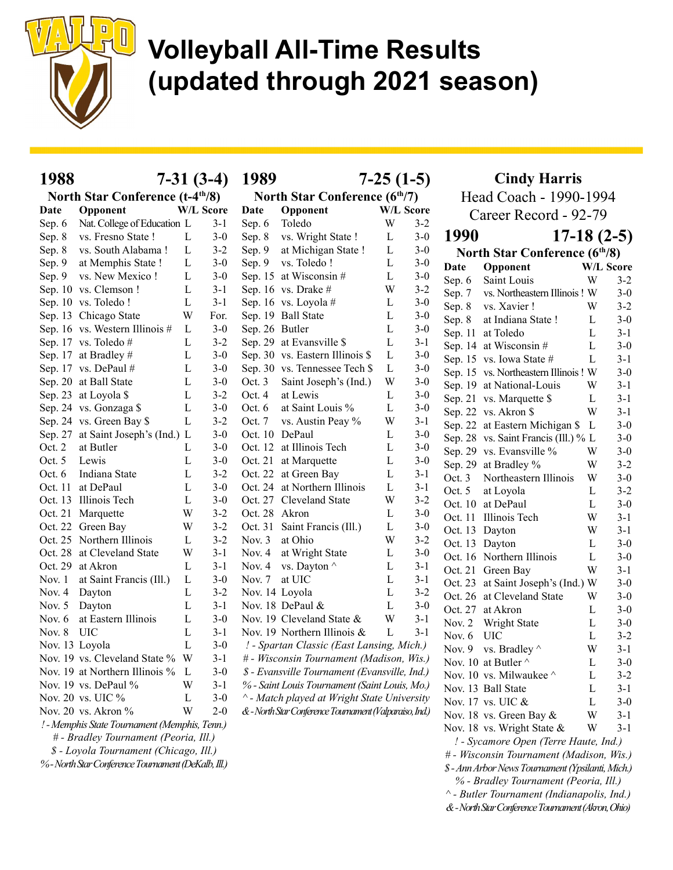

| 1988           |                                               | $7-31(3-4)$ |         | 1989<br>$7-25(1-5)$                        |                                                         |   |                        | <b>Cindy Harris</b>   |                                      |              |                  |
|----------------|-----------------------------------------------|-------------|---------|--------------------------------------------|---------------------------------------------------------|---|------------------------|-----------------------|--------------------------------------|--------------|------------------|
|                | North Star Conference (t-4 <sup>th</sup> /8)  |             |         | North Star Conference (6 <sup>th</sup> /7) |                                                         |   | Head Coach - 1990-1994 |                       |                                      |              |                  |
| Date           | Opponent                                      | W/L Score   |         | Opponent<br>W/L Score<br>Date              |                                                         |   |                        | Career Record - 92-79 |                                      |              |                  |
| Sep. 6         | Nat. College of Education L                   |             | $3-1$   | Sep. 6                                     | Toledo                                                  | W | $3 - 2$                |                       |                                      |              |                  |
| Sep. 8         | vs. Fresno State !                            | L           | $3 - 0$ | Sep. 8                                     | vs. Wright State !                                      | L | $3 - 0$                | 1990                  | $17-18(2-5)$                         |              |                  |
| Sep. 8         | vs. South Alabama!                            | L           | $3 - 2$ | Sep. 9                                     | at Michigan State !                                     | L | $3-0$                  |                       | <b>North Star Conference (6th/8)</b> |              |                  |
| Sep. 9         | at Memphis State !                            | L           | $3-0$   | Sep. 9                                     | vs. Toledo!                                             | L | $3 - 0$                | Date                  | Opponent                             |              | <b>W/L Score</b> |
| Sep. 9         | vs. New Mexico!                               | L           | $3-0$   |                                            | Sep. 15 at Wisconsin #                                  | L | $3-0$                  | Sep. 6                | Saint Louis                          | W            | $3-2$            |
|                | Sep. 10 vs. Clemson !                         | $\mathbf L$ | $3-1$   |                                            | Sep. 16 vs. Drake #                                     | W | $3 - 2$                | Sep. 7                | vs. Northeastern Illinois! W         |              | $3-0$            |
|                | Sep. 10 vs. Toledo!                           | L           | $3-1$   |                                            | Sep. 16 vs. Loyola #                                    | L | $3-0$                  | Sep. 8                | vs. Xavier !                         | W            | $3 - 2$          |
|                | Sep. 13 Chicago State                         | W           | For.    |                                            | Sep. 19 Ball State                                      | L | $3 - 0$                | Sep. 8                | at Indiana State !                   | L            | $3-0$            |
|                | Sep. 16 vs. Western Illinois #                | L           | $3-0$   | Sep. 26 Butler                             |                                                         | L | $3-0$                  |                       | Sep. 11 at Toledo                    | L            | $3-1$            |
|                | Sep. 17 vs. Toledo#                           | L           | $3 - 2$ |                                            | Sep. 29 at Evansville \$                                | L | $3 - 1$                |                       | Sep. 14 at Wisconsin #               | L            | $3-0$            |
|                | Sep. 17 at Bradley #                          | L           | $3-0$   |                                            | Sep. 30 vs. Eastern Illinois \$                         | L | $3-0$                  |                       | Sep. 15 vs. Iowa State #             | L            | $3-1$            |
|                | Sep. 17 vs. DePaul #                          | L           | $3-0$   |                                            | Sep. 30 vs. Tennessee Tech \$                           | L | $3 - 0$                |                       | Sep. 15 vs. Northeastern Illinois! W |              | $3 - 0$          |
|                | Sep. 20 at Ball State                         | L           | $3-0$   | Oct. 3                                     | Saint Joseph's (Ind.)                                   | W | $3-0$                  |                       | Sep. 19 at National-Louis            | W            | $3-1$            |
|                | Sep. 23 at Loyola \$                          | L           | $3 - 2$ | Oct. 4                                     | at Lewis                                                | L | $3 - 0$                |                       | Sep. 21 vs. Marquette \$             | L            | $3-1$            |
|                | Sep. 24 vs. Gonzaga \$                        | L           | $3-0$   | Oct. $6$                                   | at Saint Louis %                                        | L | $3-0$                  |                       | Sep. 22 vs. Akron \$                 | W            | $3-1$            |
|                | Sep. 24 vs. Green Bay \$                      | L           | $3 - 2$ | Oct. $7$                                   | vs. Austin Peay %                                       | W | $3 - 1$                |                       | Sep. 22 at Eastern Michigan \$ L     |              | $3 - 0$          |
|                | Sep. 27 at Saint Joseph's (Ind.) L            |             | $3 - 0$ | Oct. 10 DePaul                             |                                                         | L | $3-0$                  |                       | Sep. 28 vs. Saint Francis (Ill.) % L |              | $3-0$            |
| Oct. 2         | at Butler                                     | L           | $3 - 0$ |                                            | Oct. 12 at Illinois Tech                                | L | $3 - 0$                |                       | Sep. 29 vs. Evansville %             | W            | $3-0$            |
| Oct. $5$       | Lewis                                         | L           | $3-0$   | Oct. 21                                    | at Marquette                                            | L | $3 - 0$                |                       | Sep. 29 at Bradley %                 | W            | $3 - 2$          |
| Oct. $6$       | Indiana State                                 | L           | $3 - 2$ |                                            | Oct. 22 at Green Bay                                    | L | $3-1$                  | Oct. 3                | Northeastern Illinois                | W            | $3-0$            |
|                | Oct. 11 at DePaul                             | L           | $3-0$   |                                            | Oct. 24 at Northern Illinois                            | L | $3-1$                  | Oct. $5$              | at Loyola                            | $\mathbf{L}$ | $3 - 2$          |
|                | Oct. 13 Illinois Tech                         | L           | $3-0$   |                                            | Oct. 27 Cleveland State                                 | W | $3 - 2$                |                       | Oct. 10 at DePaul                    | L            | $3-0$            |
|                | Oct. 21 Marquette                             | W           | $3 - 2$ | Oct. 28 Akron                              |                                                         | L | $3-0$                  |                       | Oct. 11 Illinois Tech                | W            | $3 - 1$          |
|                | Oct. 22 Green Bay                             | W           | $3 - 2$ |                                            | Oct. 31 Saint Francis (Ill.)                            | L | $3 - 0$                | Oct. 13 Dayton        |                                      | W            | $3-1$            |
|                | Oct. 25 Northern Illinois                     | L           | $3 - 2$ | Nov. $3$                                   | at Ohio                                                 | W | $3 - 2$                |                       | Oct. 13 Dayton                       | L            | $3-0$            |
|                | Oct. 28 at Cleveland State                    | W           | $3-1$   | Nov. $4$                                   | at Wright State                                         | L | $3-0$                  |                       | Oct. 16 Northern Illinois            | $\mathbf L$  | $3 - 0$          |
|                | Oct. 29 at Akron                              | L           | $3-1$   | Nov. $4$                                   | vs. Dayton $\wedge$                                     | L | $3 - 1$                |                       | Oct. 21 Green Bay                    | W            | $3-1$            |
| Nov. 1         | at Saint Francis (Ill.)                       | L           | $3-0$   | Nov. $7$                                   | at UIC                                                  | L | $3-1$                  |                       | Oct. 23 at Saint Joseph's (Ind.) W   |              | $3 - 0$          |
| Nov. 4         | Dayton                                        | L           | $3 - 2$ | Nov. 14 Loyola                             |                                                         | L | $3 - 2$                |                       | Oct. 26 at Cleveland State           | W            | $3-0$            |
| Nov. 5 Dayton  |                                               | L           | $3-1$   |                                            | Nov. 18 DePaul &                                        | L | $3 - 0$                |                       | Oct. 27 at Akron                     | L            | $3-0$            |
| Nov. $6$       | at Eastern Illinois                           | L           | $3 - 0$ |                                            | Nov. 19 Cleveland State &                               | W | $3 - 1$                | Nov. $2$              | Wright State                         | L            | $3-0$            |
| Nov. $8$       | <b>UIC</b>                                    | L           | $3-1$   |                                            | Nov. 19 Northern Illinois &                             | L | $3 - 1$                | Nov. $6$              | <b>UIC</b>                           | L            | $3 - 2$          |
| Nov. 13 Loyola |                                               | L           | $3 - 0$ |                                            | ! - Spartan Classic (East Lansing, Mich.)               |   |                        |                       | Nov. 9 vs. Bradley $\wedge$          | W            | $3 - 1$          |
|                | Nov. 19 vs. Cleveland State % W               |             | $3-1$   |                                            | # - Wisconsin Tournament (Madison, Wis.)                |   |                        |                       | Nov. 10 at Butler ^                  | L            | $3-0$            |
|                | Nov. 19 at Northern Illinois $\%$ L           |             | $3-0$   |                                            | \$ - Evansville Tournament (Evansville, Ind.)           |   |                        |                       | Nov. 10 vs. Milwaukee $\wedge$       | L            | $3 - 2$          |
|                | Nov. 19 vs. DePaul %                          | W           | $3-1$   |                                            | % - Saint Louis Tournament (Saint Louis, Mo.)           |   |                        |                       | Nov. 13 Ball State                   | L            | $3 - 1$          |
|                | Nov. 20 vs. UIC %                             | L           | $3-0$   |                                            | ^ - Match played at Wright State University             |   |                        |                       | Nov. 17 vs. UIC $\&$                 | L            | $3-0$            |
|                | Nov. 20 vs. Akron %                           | W           | $2 - 0$ |                                            | & - North Star Conference Tournament (Valparaiso, Ind.) |   |                        |                       | Nov. 18 vs. Green Bay &              | W            | $3 - 1$          |
|                | ! - Memphis State Tournament (Memphis, Tenn.) |             |         |                                            |                                                         |   |                        |                       | Nov. 18 vs. Wright State &           | W            | $3 - 1$          |
|                | # - Bradley Tournament (Peoria, Ill.)         |             |         |                                            |                                                         |   |                        |                       | L. Sycamore Open (Terre Haute, Ind.) |              |                  |

\$ - Loyola Tournament (Chicago, Ill.) % - North Star Conference Tournament (DeKalb, Ill.)

# - Wisconsin Tournament (Madison, Wis.)

\$ - Ann Arbor News Tournament (Ypsilanti, Mich.)

% - Bradley Tournament (Peoria, Ill.)  $\wedge$  - Butler Tournament (Indianapolis, Ind.)

& - North Star Conference Tournament (Akron, Ohio)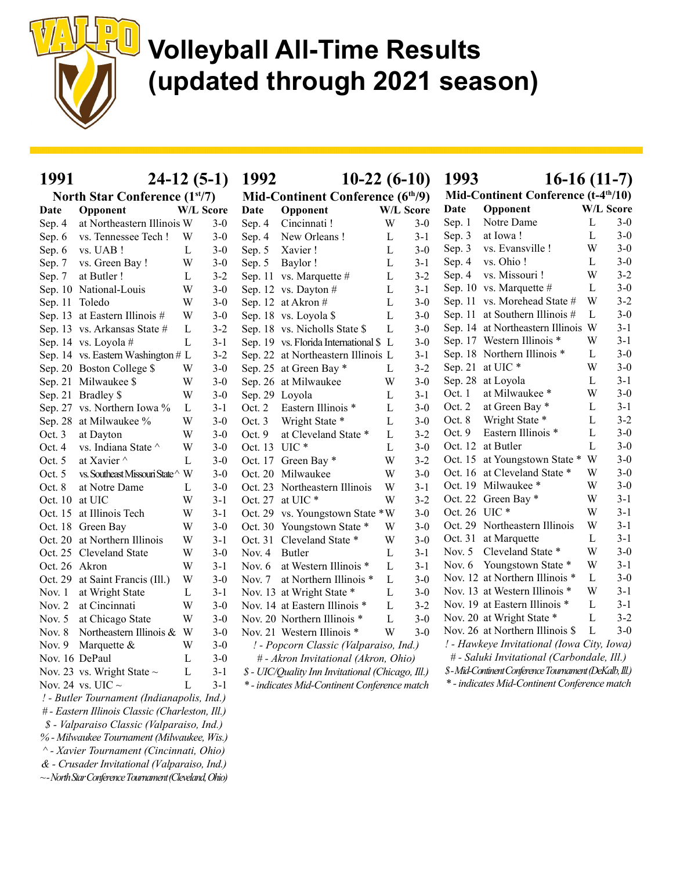

| 1991           | $24-12(5-1)$                                    |           |         | 1992           | $10-22(6-10)$                                     |              |                  | 1993          | $16-16(11-7)$                                         |                  |         |
|----------------|-------------------------------------------------|-----------|---------|----------------|---------------------------------------------------|--------------|------------------|---------------|-------------------------------------------------------|------------------|---------|
|                | North Star Conference (1 <sup>st</sup> /7)      |           |         |                | Mid-Continent Conference (6 <sup>th</sup> /9)     |              |                  |               | Mid-Continent Conference (t-4 <sup>th</sup> /10)      |                  |         |
| Date           | Opponent                                        | W/L Score |         | Date           | Opponent                                          |              | <b>W/L Score</b> | Date          | Opponent                                              | <b>W/L Score</b> |         |
| Sep. 4         | at Northeastern Illinois W                      |           | $3-0$   | Sep. 4         | Cincinnati!                                       | W            | $3 - 0$          | Sep. 1        | Notre Dame                                            | L                | $3-0$   |
| Sep. 6         | vs. Tennessee Tech !                            | W         | $3-0$   | Sep. 4         | New Orleans!                                      | L            | $3 - 1$          | Sep. 3        | at Iowa!                                              | L                | $3 - 0$ |
| Sep. 6         | vs. UAB !                                       | L         | $3-0$   | Sep. 5         | Xavier!                                           | L            | $3 - 0$          | Sep. 3        | vs. Evansville !                                      | W                | $3 - 0$ |
| Sep. 7         | vs. Green Bay!                                  | W         | $3-0$   | Sep. 5         | Baylor!                                           | L            | $3 - 1$          | Sep. 4        | vs. Ohio!                                             | L                | $3-0$   |
| Sep. 7         | at Butler!                                      | L         | $3 - 2$ |                | Sep. 11 vs. Marquette #                           | L            | $3 - 2$          | Sep. 4        | vs. Missouri !                                        | W                | $3 - 2$ |
|                | Sep. 10 National-Louis                          | W         | $3-0$   |                | Sep. 12 vs. Dayton #                              | L            | $3-1$            |               | Sep. 10 vs. Marquette #                               | L                | $3-0$   |
| Sep. 11 Toledo |                                                 | W         | $3-0$   |                | Sep. 12 at Akron #                                | L            | $3-0$            |               | Sep. 11 vs. Morehead State #                          | W                | $3 - 2$ |
|                | Sep. 13 at Eastern Illinois #                   | W         | $3-0$   |                | Sep. 18 vs. Loyola \$                             | L            | $3-0$            |               | Sep. 11 at Southern Illinois #                        | L                | $3 - 0$ |
|                | Sep. 13 vs. Arkansas State #                    | L         | $3-2$   |                | Sep. 18 vs. Nicholls State \$                     | $\mathbf L$  | $3-0$            |               | Sep. 14 at Northeastern Illinois W                    |                  | $3 - 1$ |
|                | Sep. 14 vs. Loyola #                            | L         | $3-1$   |                | Sep. 19 vs. Florida International \$ L            |              | $3 - 0$          |               | Sep. 17 Western Illinois *                            | W                | $3 - 1$ |
|                | Sep. 14 vs. Eastern Washington # L              |           | $3 - 2$ |                | Sep. 22 at Northeastern Illinois L                |              | $3 - 1$          |               | Sep. 18 Northern Illinois *                           | L                | $3 - 0$ |
|                | Sep. 20 Boston College \$                       | W         | $3-0$   |                | Sep. 25 at Green Bay *                            | $\mathbf{L}$ | $3 - 2$          |               | Sep. 21 at UIC*                                       | W                | $3 - 0$ |
|                | Sep. 21 Milwaukee \$                            | W         | $3-0$   |                | Sep. 26 at Milwaukee                              | W            | $3 - 0$          |               | Sep. 28 at Loyola                                     | L                | $3-1$   |
|                | Sep. 21 Bradley \$                              | W         | $3-0$   | Sep. 29 Loyola |                                                   | L            | $3 - 1$          | Oct. 1        | at Milwaukee *                                        | W                | $3-0$   |
|                | Sep. 27 vs. Northern Iowa %                     | L         | $3 - 1$ | Oct. 2         | Eastern Illinois *                                | L            | $3 - 0$          | Oct. 2        | at Green Bay *                                        | L                | $3-1$   |
|                | Sep. 28 at Milwaukee %                          | W         | $3-0$   | Oct. 3         | Wright State *                                    | L            | $3-0$            | Oct. 8        | Wright State *                                        | L                | $3 - 2$ |
| Oct. 3         | at Dayton                                       | W         | $3-0$   | Oct. 9         | at Cleveland State *                              | L            | $3 - 2$          | Oct. $9$      | Eastern Illinois *                                    | L                | $3-0$   |
| Oct. 4         | vs. Indiana State $^\wedge$                     | W         | $3-0$   | Oct. 13 UIC *  |                                                   | L            | $3 - 0$          |               | Oct. 12 at Butler                                     | L                | $3 - 0$ |
| Oct. 5         | at Xavier $\wedge$                              | L         | $3-0$   |                | Oct. 17 Green Bay *                               | W            | $3 - 2$          |               | Oct. 15 at Youngstown State *                         | W                | $3 - 0$ |
| Oct. 5         | vs. Southeast Missouri State ^ W                |           | $3-0$   |                | Oct. 20 Milwaukee                                 | W            | $3 - 0$          |               | Oct. 16 at Cleveland State *                          | W                | $3-0$   |
| Oct. 8         | at Notre Dame                                   | L         | $3-0$   |                | Oct. 23 Northeastern Illinois                     | W            | $3 - 1$          |               | Oct. 19 Milwaukee *                                   | W                | $3-0$   |
| Oct. 10        | at UIC                                          | W         | $3-1$   |                | Oct. 27 at UIC *                                  | W            | $3 - 2$          |               | Oct. 22 Green Bay *                                   | W                | $3 - 1$ |
|                | Oct. 15 at Illinois Tech                        | W         | 3-1     |                | Oct. 29 vs. Youngstown State *W                   |              | $3 - 0$          | Oct. 26 UIC * |                                                       | W                | $3 - 1$ |
|                | Oct. 18 Green Bay                               | W         | $3-0$   |                | Oct. 30 Youngstown State *                        | W            | $3 - 0$          |               | Oct. 29 Northeastern Illinois                         | W                | $3-1$   |
|                | Oct. 20 at Northern Illinois                    | W         | $3-1$   |                | Oct. 31 Cleveland State *                         | W            | $3 - 0$          |               | Oct. 31 at Marquette                                  | L                | $3-1$   |
|                | Oct. 25 Cleveland State                         | W         | $3-0$   | Nov. 4         | Butler                                            | L            | $3 - 1$          | Nov. $5$      | Cleveland State *                                     | W                | $3 - 0$ |
| Oct. 26 Akron  |                                                 | W         | $3-1$   | Nov. $6$       | at Western Illinois *                             | $\mathbf L$  | $3 - 1$          |               | Nov. 6 Youngstown State *                             | W                | $3 - 1$ |
| Oct. 29        | at Saint Francis (Ill.)                         | W         | $3-0$   | Nov. $7$       | at Northern Illinois *                            | L            | $3-0$            |               | Nov. 12 at Northern Illinois *                        | $\mathbf{L}$     | $3-0$   |
| Nov. 1         | at Wright State                                 | L         | $3-1$   |                | Nov. 13 at Wright State *                         | L            | $3-0$            |               | Nov. 13 at Western Illinois *                         | W                | $3 - 1$ |
| Nov. 2         | at Cincinnati                                   | W         | $3-0$   |                | Nov. 14 at Eastern Illinois *                     | L            | $3 - 2$          |               | Nov. 19 at Eastern Illinois *                         | L                | $3 - 1$ |
| Nov. 5         | at Chicago State                                | W         | $3-0$   |                | Nov. 20 Northern Illinois *                       | $\mathbf L$  | $3-0$            |               | Nov. 20 at Wright State *                             | L                | $3 - 2$ |
| Nov. 8         | Northeastern Illinois & W                       |           | $3-0$   |                | Nov. 21 Western Illinois *                        | W            | $3 - 0$          |               | Nov. 26 at Northern Illinois \$                       | L                | $3-0$   |
| Nov. $9$       | Marquette &                                     | W         | $3-0$   |                | ! - Popcorn Classic (Valparaiso, Ind.)            |              |                  |               | ! - Hawkeye Invitational (Iowa City, Iowa)            |                  |         |
|                | Nov. 16 DePaul                                  | L         | $3-0$   |                | # - Akron Invitational (Akron, Ohio)              |              |                  |               | # - Saluki Invitational (Carbondale, Ill.)            |                  |         |
|                | Nov. 23 vs. Wright State $\sim$                 | L         | $3-1$   |                | \$ - UIC/Quality Inn Invitational (Chicago, Ill.) |              |                  |               | \$-Mid-Continent Conference Tournament (DeKalb, Ill.) |                  |         |
|                | Nov. 24 vs. UIC $\sim$                          | L         | $3 - 1$ |                | * - indicates Mid-Continent Conference match      |              |                  |               | * - indicates Mid-Continent Conference match          |                  |         |
|                | ! - Butler Tournament (Indianapolis, Ind.)      |           |         |                |                                                   |              |                  |               |                                                       |                  |         |
|                | # - Eastern Illinois Classic (Charleston, Ill.) |           |         |                |                                                   |              |                  |               |                                                       |                  |         |
|                | \$ - Valparaiso Classic (Valparaiso, Ind.)      |           |         |                |                                                   |              |                  |               |                                                       |                  |         |

^ - Xavier Tournament (Cincinnati, Ohio) & - Crusader Invitational (Valparaiso, Ind.)

% - Milwaukee Tournament (Milwaukee, Wis.)

~ - North Star Conference Tournament (Cleveland, Ohio)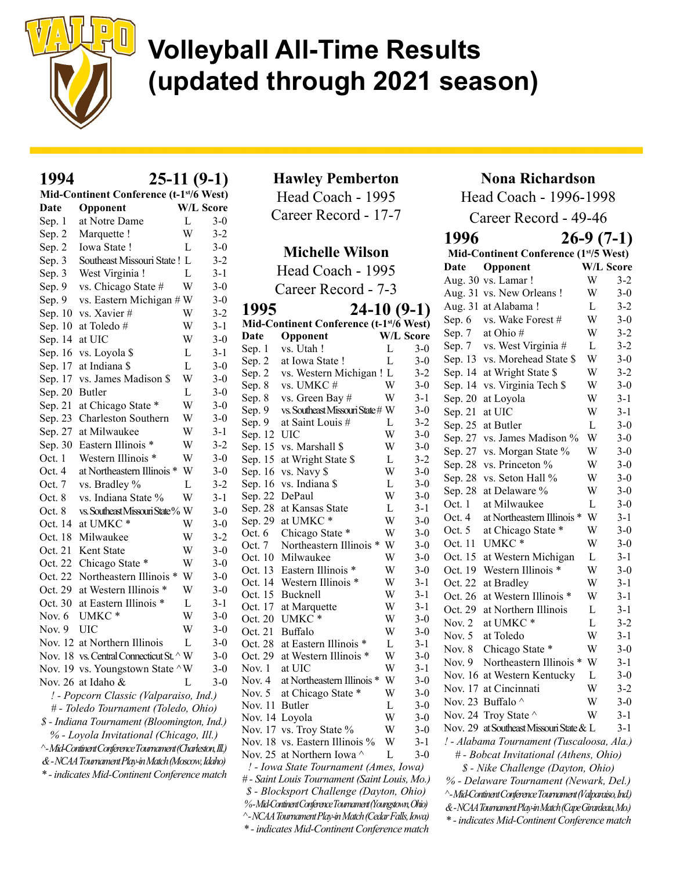

#### 1994 25-11 (9-1) Mid-Continent Conference (t-1st/6 West) Date Opponent W/L Score Sep. 1 at Notre Dame L 3-0 Sep. 2 Marquette ! W 3-2 Sep. 2 Iowa State ! L 3-0 Sep. 3 Southeast Missouri State ! L 3-2 Sep. 3 West Virginia ! L 3-1 Sep. 9 vs. Chicago State # W 3-0 Sep. 9 vs. Eastern Michigan  $# W$  3-0 Sep. 10 vs. Xavier  $\#$  W 3-2 Sep. 10 at Toledo  $\#$  W 3-1 Sep. 14 at UIC W 3-0 Sep. 16 vs. Loyola  $\ell$  L 3-1 Sep. 17 at Indiana \$ L 3-0 Sep. 17 vs. James Madison \$ W 3-0 Sep. 20 Butler L 3-0 Sep. 21 at Chicago State \* W 3-0 Sep. 23 Charleston Southern W 3-0 Sep. 27 at Milwaukee W 3-1 Sep. 30 Eastern Illinois \* W 3-2 Oct. 1 Western Illinois \* W 3-0 Oct. 4 at Northeastern Illinois \* W 3-0 Oct. 7 vs. Bradley % L 3-2 Oct. 8 vs. Indiana State % W 3-1 Oct. 8 vs. Southeast Missouri State % W 3-0 Oct. 14 at UMKC \* W 3-0 Oct. 18 Milwaukee W 3-2 Oct. 21 Kent State W 3-0 Oct. 22 Chicago State \* W 3-0 Oct. 22 Northeastern Illinois \* W 3-0 Oct. 29 at Western Illinois \* W 3-0 Oct. 30 at Eastern Illinois \* L 3-1 Nov. 6 UMKC \* W 3-0 Nov. 9 UIC W 3-0 Nov. 12 at Northern Illinois L 3-0 Nov. 18 vs. Central Connecticut St.  $\wedge$  W 3-0 Nov. 19 vs. Youngstown State  $\wedge$  W 3-0 Nov. 26 at Idaho & L 3-0 ! - Popcorn Classic (Valparaiso, Ind.) # - Toledo Tournament (Toledo, Ohio) \$ - Indiana Tournament (Bloomington, Ind.) % - Loyola Invitational (Chicago, Ill.) ^ - Mid-Continent Conference Tournament (Charleston, Ill.) & - NCAA Tournament Play-in Match (Moscow, Idaho) \* - indicates Mid-Continent Conference match

Hawley Pemberton Head Coach - 1995

Career Record - 17-7

#### Michelle Wilson

Head Coach - 1995 Career Record - 7-3

| 1995            | $24-10(9-1)$                                             |        |                  |          | Aug. 31 at Alabama!                                      | L           | $3 - 2$ |
|-----------------|----------------------------------------------------------|--------|------------------|----------|----------------------------------------------------------|-------------|---------|
|                 | Mid-Continent Conference (t-1 <sup>st</sup> /6 West)     |        |                  | Sep. $6$ | vs. Wake Forest #                                        | W           | $3 - 0$ |
| Date            | Opponent                                                 |        | W/L Score        | Sep. $7$ | at Ohio#                                                 | W           | 3-2     |
| Sep. 1          | vs. Utah!                                                | L      | $3-0$            | Sep. $7$ | vs. West Virginia #                                      | L           | $3 - 2$ |
| Sep. 2          | at Iowa State!                                           | L      | $3 - 0$          |          | Sep. 13 vs. Morehead State \$                            | W           | $3 - 0$ |
| Sep. 2          | vs. Western Michigan ! L                                 |        | $3 - 2$          |          | Sep. 14 at Wright State \$                               | W           | $3 - 2$ |
| Sep. 8          | vs. UMKC#                                                | W      | $3 - 0$          |          | Sep. 14 vs. Virginia Tech \$                             | W           | $3 - 0$ |
| Sep. 8          | vs. Green Bay #                                          | W      | $3-1$            | Sep. 20  | at Loyola                                                | W           | $3-1$   |
| Sep. 9          | vs. Southeast Missouri State # W                         |        | $3 - 0$          | Sep. 21  | at UIC                                                   | W           | $3 - 1$ |
| Sep. 9          | at Saint Louis #                                         | L      | $3 - 2$          |          | Sep. 25 at Butler                                        | L           | $3 - 0$ |
| Sep. 12 UIC     |                                                          | W      | $3 - 0$          |          | Sep. 27 vs. James Madison %                              | W           | $3 - 0$ |
|                 | Sep. 15 vs. Marshall \$                                  | W      | $3 - 0$          |          | Sep. 27 vs. Morgan State %                               | W           | $3 - 0$ |
|                 | Sep. 15 at Wright State \$                               | L      | $3 - 2$          |          | Sep. 28 vs. Princeton %                                  | W           | $3-0$   |
|                 | Sep. 16 vs. Navy \$                                      | W      | $3 - 0$          |          | Sep. 28 vs. Seton Hall %                                 | W           | $3 - 0$ |
|                 | Sep. 16 vs. Indiana \$                                   | L      | $3-0$            |          | Sep. 28 at Delaware %                                    | W           | $3-0$   |
| Sep. 22 DePaul  |                                                          | W      | $3 - 0$          | Oct. 1   | at Milwaukee                                             | L           | $3 - 0$ |
|                 | Sep. 28 at Kansas State                                  | L      | $3 - 1$          | Oct. 4   | at Northeastern Illinois *                               | W           | $3-1$   |
|                 | Sep. 29 at UMKC*                                         | W      | $3 - 0$          | Oct. $5$ | at Chicago State *                                       | W           | $3-0$   |
| Oct. 6          | Chicago State *                                          | W      | $3 - 0$          |          | Oct. 11 UMKC*                                            | W           | $3 - 0$ |
| Oct. 7          | Northeastern Illinois * W                                |        | $3-0$            |          |                                                          | L           |         |
|                 | Oct. 10 Milwaukee                                        | W      | $3 - 0$          |          | Oct. 15 at Western Michigan                              | W           | $3 - 1$ |
|                 | Oct. 13 Eastern Illinois *<br>Oct. 14 Western Illinois * | W<br>W | $3-0$<br>$3 - 1$ |          | Oct. 19 Western Illinois *                               |             | $3 - 0$ |
|                 | Oct. 15 Bucknell                                         | W      | $3 - 1$          |          | Oct. 22 at Bradley                                       | W           | $3-1$   |
|                 | Oct. 17 at Marquette                                     | W      | $3 - 1$          |          | Oct. 26 at Western Illinois *                            | W           | $3 - 1$ |
|                 | Oct. 20 UMKC*                                            | W      | $3-0$            |          | Oct. 29 at Northern Illinois                             | $\mathbf L$ | $3 - 1$ |
| Oct. 21 Buffalo |                                                          | W      | $3-0$            | Nov. $2$ | at UMKC*                                                 | L           | $3 - 2$ |
|                 | Oct. 28 at Eastern Illinois *                            | L      | $3 - 1$          | Nov. $5$ | at Toledo                                                | W           | $3 - 1$ |
|                 | Oct. 29 at Western Illinois *                            | W      | $3-0$            | Nov. 8   | Chicago State *                                          | W           | $3 - 0$ |
| Nov. $1$        | at UIC                                                   | W      | $3-1$            |          | Nov. 9 Northeastern Illinois *                           | W           | $3 - 1$ |
|                 | Nov. 4 at Northeastern Illinois *                        | W      | $3 - 0$          |          | Nov. 16 at Western Kentucky                              | L           | $3 - 0$ |
| Nov. 5          | at Chicago State *                                       | W      | $3-0$            |          | Nov. 17 at Cincinnati                                    | W           | $3 - 2$ |
| Nov. 11 Butler  |                                                          | L      | $3-0$            |          | Nov. 23 Buffalo ^                                        | W           | $3 - 0$ |
| Nov. 14 Loyola  |                                                          | W      | $3 - 0$          |          | Nov. 24 Troy State ^                                     | W           | $3 - 1$ |
|                 | Nov. 17 vs. Troy State %                                 | W      | $3 - 0$          |          | Nov. 29 at Southeast Missouri State & L                  |             | $3 - 1$ |
|                 | Nov. 18 vs. Eastern Illinois $\%$                        | W      | $3-1$            |          | ! - Alabama Tournament (Tuscaloosa, Ala.)                |             |         |
|                 | Nov. 25 at Northern Iowa $\wedge$                        | L      | $3-0$            |          | # - Bobcat Invitational (Athens, Ohio)                   |             |         |
|                 | ! - Iowa State Tournament (Ames, Iowa)                   |        |                  |          | \$ - Nike Challenge (Dayton, Ohio)                       |             |         |
|                 | # - Saint Louis Tournament (Saint Louis, Mo.)            |        |                  |          | % - Delaware Tournament (Newark, Del.)                   |             |         |
|                 | \$ - Blocksport Challenge (Dayton, Ohio)                 |        |                  |          | ^-Mid-Continent Conference Tournament (Valparaiso, Ind.) |             |         |
|                 | %-Mid-Continent Conference Tournament (Youngstown, Ohio) |        |                  |          | &-NCAA Tournament Play-in Match (Cape Girardeau, Mo.)    |             |         |
|                 | ^- NCAA Tournament Play-in Match (Cedar Falls, Iowa)     |        |                  |          | * - indicates Mid-Continent Conference match             |             |         |
|                 | * - indicates Mid-Continent Conference match             |        |                  |          |                                                          |             |         |

#### Nona Richardson

Head Coach - 1996-1998

Career Record - 49-46 1996 26-9 (7-1) Mid-Continent Conference (1st/5 West) Date Opponent W/L Score

|         | -рроте                                                   |              |         |
|---------|----------------------------------------------------------|--------------|---------|
|         | Aug. 30 vs. Lamar!                                       | W            | $3-2$   |
|         | Aug. 31 vs. New Orleans!                                 | W            | $3-0$   |
|         | Aug. 31 at Alabama!                                      | $\mathbf{L}$ | $3 - 2$ |
| Sep. 6  | vs. Wake Forest #                                        | W            | $3 - 0$ |
| Sep. 7  | at Ohio#                                                 | W            | $3 - 2$ |
| Sep. 7  | vs. West Virginia #                                      | $\mathbf L$  | $3 - 2$ |
|         | Sep. 13 vs. Morehead State \$                            | W            | $3 - 0$ |
|         | Sep. 14 at Wright State \$                               | W            | $3 - 2$ |
|         | Sep. 14 vs. Virginia Tech \$                             | W            | $3 - 0$ |
|         | Sep. 20 at Loyola                                        | W            | $3-1$   |
| Sep. 21 | at UIC                                                   | W            | $3-1$   |
| Sep. 25 | at Butler                                                | L            | $3-0$   |
| Sep. 27 | vs. James Madison %                                      | W            | $3-0$   |
|         | Sep. 27 vs. Morgan State %                               | W            | $3 - 0$ |
|         | Sep. 28 vs. Princeton %                                  | W            | $3 - 0$ |
|         | Sep. 28 vs. Seton Hall %                                 | W            | $3 - 0$ |
| Sep. 28 | at Delaware %                                            | W            | $3-0$   |
| Oct. 1  | at Milwaukee                                             | L            | $3-0$   |
| Oct. 4  | at Northeastern Illinois *                               | W            | $3 - 1$ |
| Oct. 5  | at Chicago State *                                       | W            | $3 - 0$ |
| Oct. 11 | UMKC*                                                    | W            | $3 - 0$ |
| Oct. 15 | at Western Michigan                                      | $\mathbf L$  | $3 - 1$ |
|         | Oct. 19 Western Illinois *                               | W            | $3-0$   |
| Oct. 22 | at Bradley                                               | W            | $3-1$   |
| Oct. 26 | at Western Illinois *                                    | W            | $3 - 1$ |
| Oct. 29 | at Northern Illinois                                     | $\mathbf L$  | $3 - 1$ |
| Nov. 2  | at UMKC <sup>*</sup>                                     | L            | $3 - 2$ |
| Nov. 5  | at Toledo                                                | W            | $3 - 1$ |
| Nov. 8  | Chicago State *                                          | W            | $3 - 0$ |
| Nov. 9  | Northeastern Illinois *                                  | W            | $3 - 1$ |
|         | Nov. 16 at Western Kentucky                              | L            | $3-0$   |
|         | Nov. 17 at Cincinnati                                    | W            | $3 - 2$ |
|         | Nov. 23 Buffalo ^                                        | W            | $3-0$   |
|         | Nov. 24 Troy State $\wedge$                              | W            | $3-1$   |
|         | Nov. 29 at Southeast Missouri State & L                  |              | $3-1$   |
|         | ! - Alabama Tournament (Tuscaloosa, Ala.)                |              |         |
|         | # - Bobcat Invitational (Athens, Ohio)                   |              |         |
|         | \$ - Nike Challenge (Dayton, Ohio)                       |              |         |
|         | % - Delaware Tournament (Newark, Del.)                   |              |         |
|         | ^-Mid-Continent Conference Tournament (Valparaiso, Ind.) |              |         |
|         | &-NCAA Tournament Play-in Match (Cape Girardeau, Mo.)    |              |         |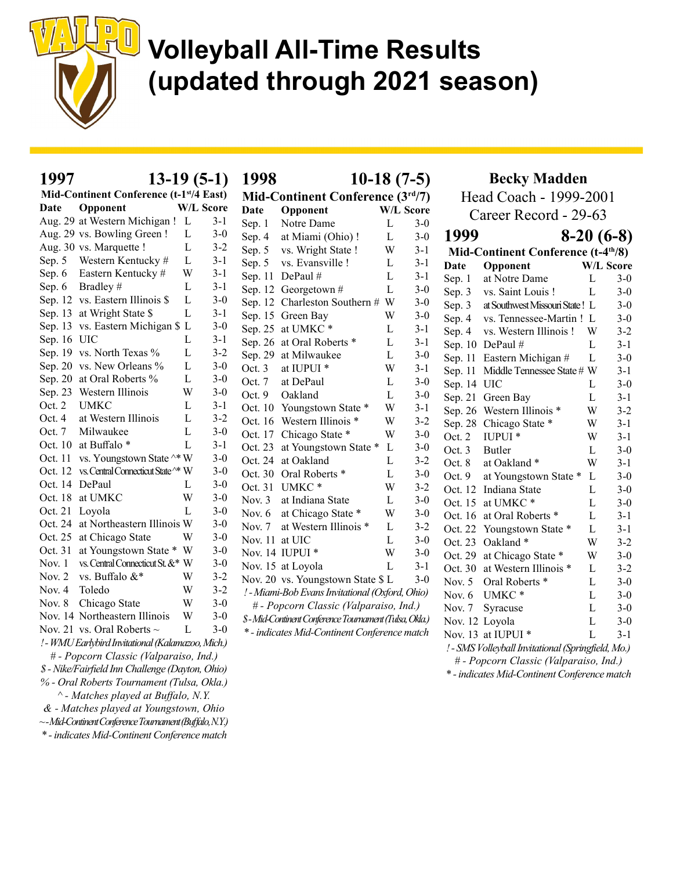

| 1997        | $13-19(5-1)$                                                |              |                  |                                  | 1998<br>$10-18(7-5)$                                  |              |                  |                        | <b>Becky Madden</b>                                |              |                  |  |  |
|-------------|-------------------------------------------------------------|--------------|------------------|----------------------------------|-------------------------------------------------------|--------------|------------------|------------------------|----------------------------------------------------|--------------|------------------|--|--|
|             | Mid-Continent Conference (t-1 <sup>st</sup> /4 East)        |              |                  | Mid-Continent Conference (3rd/7) |                                                       |              |                  | Head Coach - 1999-2001 |                                                    |              |                  |  |  |
| Date        | Opponent                                                    |              | <b>W/L Score</b> | Date                             | Opponent                                              |              | <b>W/L Score</b> |                        | Career Record - 29-63                              |              |                  |  |  |
|             | Aug. 29 at Western Michigan ! L                             |              | $3 - 1$          | Sep. 1                           | Notre Dame                                            | L            | $3-0$            |                        |                                                    |              |                  |  |  |
|             | Aug. 29 vs. Bowling Green!                                  | L            | $3 - 0$          | Sep. 4                           | at Miami (Ohio)!                                      | $\mathbf L$  | $3 - 0$          | 1999                   |                                                    |              | $8-20(6-8)$      |  |  |
|             | Aug. 30 vs. Marquette !                                     | L            | $3 - 2$          | Sep. 5                           | vs. Wright State !                                    | W            | $3 - 1$          |                        | Mid-Continent Conference (t-4 <sup>th</sup> /8)    |              |                  |  |  |
|             | Sep. 5 Western Kentucky #                                   | L            | $3 - 1$          | Sep. 5                           | vs. Evansville !                                      | L            | $3 - 1$          | <b>Date</b>            | Opponent                                           |              | <b>W/L Score</b> |  |  |
| Sep. $6$    | Eastern Kentucky #                                          | W            | $3 - 1$          |                                  | Sep. 11 DePaul #                                      | L            | $3 - 1$          | Sep. 1                 | at Notre Dame                                      | $\mathbf L$  | $3-0$            |  |  |
|             | Sep. 6 Bradley #                                            | L            | $3 - 1$          |                                  | Sep. 12 Georgetown #                                  | $\mathbf L$  | $3 - 0$          | Sep. 3                 | vs. Saint Louis !                                  | L            | $3 - 0$          |  |  |
|             | Sep. 12 vs. Eastern Illinois \$                             | L            | $3 - 0$          |                                  | Sep. 12 Charleston Southern # W                       |              | $3 - 0$          | Sep. 3                 | at Southwest Missouri State! L                     |              | $3 - 0$          |  |  |
|             | Sep. 13 at Wright State \$                                  | L            | $3 - 1$          |                                  | Sep. 15 Green Bay                                     | W            | $3 - 0$          | Sep. 4                 | vs. Tennessee-Martin! L                            |              | $3-0$            |  |  |
|             | Sep. 13 vs. Eastern Michigan \$ L                           |              | $3 - 0$          |                                  | Sep. 25 at UMKC*                                      | L            | $3 - 1$          | Sep. 4                 | vs. Western Illinois!                              | W            | $3 - 2$          |  |  |
| Sep. 16 UIC |                                                             | L            | $3 - 1$          |                                  | Sep. 26 at Oral Roberts *                             | L            | $3 - 1$          |                        | Sep. 10 DePaul #                                   | $\mathbf L$  | $3 - 1$          |  |  |
|             | Sep. 19 vs. North Texas %                                   | L            | $3 - 2$          |                                  | Sep. 29 at Milwaukee                                  | L            | $3 - 0$          |                        | Sep. 11 Eastern Michigan #                         | $\mathbf L$  | $3 - 0$          |  |  |
|             | Sep. 20 vs. New Orleans %                                   | L            | $3-0$            | Oct. 3                           | at IUPUI <sup>*</sup>                                 | W            | $3-1$            |                        | Sep. 11 Middle Tennessee State # W                 |              | $3-1$            |  |  |
|             | Sep. 20 at Oral Roberts %                                   | $\mathbf L$  | $3-0$            | Oct. 7                           | at DePaul                                             | L            | $3-0$            | Sep. 14 UIC            |                                                    | L            | $3 - 0$          |  |  |
|             | Sep. 23 Western Illinois                                    | W            | $3-0$            | Oct. 9                           | Oakland                                               | $\mathbf L$  | $3-0$            |                        | Sep. 21 Green Bay                                  | L            | $3-1$            |  |  |
| Oct. $2$    | <b>UMKC</b>                                                 | L            | $3 - 1$          |                                  | Oct. 10 Youngstown State *                            | W            | $3 - 1$          |                        | Sep. 26 Western Illinois *                         | W            | $3 - 2$          |  |  |
| Oct. 4      | at Western Illinois                                         | L            | $3 - 2$          |                                  | Oct. 16 Western Illinois *                            | W            | $3 - 2$          |                        | Sep. 28 Chicago State *                            | W            | $3-1$            |  |  |
| Oct. 7      | Milwaukee                                                   | $\mathbf{L}$ | $3-0$            |                                  | Oct. 17 Chicago State *                               | W            | $3-0$            | Oct. 2                 | IUPUI *                                            | W            | $3 - 1$          |  |  |
|             | Oct. 10 at Buffalo *                                        | $\mathbf L$  | $3 - 1$          |                                  | Oct. 23 at Youngstown State *                         | $\mathbf{L}$ | $3 - 0$          | Oct. 3                 | Butler                                             | L            | $3 - 0$          |  |  |
|             | Oct. 11 vs. Youngstown State $\wedge^*$ W                   |              | $3-0$            |                                  | Oct. 24 at Oakland                                    | $\mathbf L$  | $3 - 2$          | Oct. 8                 | at Oakland*                                        | W            | $3-1$            |  |  |
|             | Oct. 12 vs. Central Connecticut State ^* W                  |              | $3-0$            |                                  | Oct. 30 Oral Roberts *                                | $\mathbf L$  | $3 - 0$          | Oct. 9                 | at Youngstown State *                              | L            | $3-0$            |  |  |
|             | Oct. 14 DePaul                                              | L            | $3 - 0$          |                                  | Oct. 31 UMKC*                                         | W            | $3 - 2$          |                        | Oct. 12 Indiana State                              | L            | $3-0$            |  |  |
|             | Oct. 18 at UMKC                                             | W            | $3-0$            | Nov. $3$                         | at Indiana State                                      | $\mathbf L$  | $3-0$            |                        | Oct. 15 at UMKC*                                   | L            | $3 - 0$          |  |  |
|             | Oct. 21 Loyola                                              | L            | $3-0$            | Nov. $6$                         | at Chicago State *                                    | W            | $3 - 0$          |                        | Oct. 16 at Oral Roberts *                          | L            | $3 - 1$          |  |  |
|             | Oct. 24 at Northeastern Illinois W                          |              | $3 - 0$          | Nov. $7$                         | at Western Illinois *                                 | $\Gamma$     | $3 - 2$          |                        | Oct. 22 Youngstown State *                         | $\mathbf{L}$ | $3 - 1$          |  |  |
|             | Oct. 25 at Chicago State                                    | W            | $3 - 0$          | Nov. 11 at UIC                   |                                                       | L            | $3-0$            |                        | Oct. 23 Oakland *                                  | W            | $3 - 2$          |  |  |
|             | Oct. 31 at Youngstown State * W                             |              | $3-0$            |                                  | Nov. 14 IUPUI *                                       | W            | $3-0$            |                        | Oct. 29 at Chicago State *                         | W            | $3 - 0$          |  |  |
| Nov. 1      | vs. Central Connecticut St. &* W                            |              | $3-0$            |                                  | Nov. 15 at Loyola                                     | $\mathbf{L}$ | $3 - 1$          |                        | Oct. 30 at Western Illinois *                      | L            | $3 - 2$          |  |  |
| Nov. $2$    | vs. Buffalo &*                                              | W            | $3 - 2$          |                                  | Nov. 20 vs. Youngstown State \$ L                     |              | $3-0$            | Nov. $5$               | Oral Roberts *                                     | $\mathbf L$  | $3-0$            |  |  |
| Nov. $4$    | Toledo                                                      | W            | $3 - 2$          |                                  | ! - Miami-Bob Evans Invitational (Oxford, Ohio)       |              |                  | Nov. 6                 | UMKC <sup>*</sup>                                  | $\mathbf L$  | $3 - 0$          |  |  |
| Nov. $8$    | Chicago State                                               | W            | $3-0$            |                                  | # - Popcorn Classic (Valparaiso, Ind.)                |              |                  | Nov. 7                 | Syracuse                                           | $\mathbf L$  | $3 - 0$          |  |  |
|             | Nov. 14 Northeastern Illinois                               | W            | $3 - 0$          |                                  | \$-Mid-Continent Conference Tournament (Tulsa, Okla.) |              |                  | Nov. 12 Loyola         |                                                    | $\mathbf L$  | $3-0$            |  |  |
|             | Nov. 21 vs. Oral Roberts $\sim$                             | L            | $3-0$            |                                  | * - indicates Mid-Continent Conference match          |              |                  |                        | Nov. 13 at IUPUI *                                 | $\mathbf{L}$ | $3 - 1$          |  |  |
|             | ! - WMU Earlybird Invitational (Kalamazoo, Mich.)           |              |                  |                                  |                                                       |              |                  |                        | ! - SMS Volleyball Invitational (Springfield, Mo.) |              |                  |  |  |
|             | # - Popcorn Classic (Valparaiso, Ind.)                      |              |                  |                                  |                                                       |              |                  |                        | # - Popcorn Classic (Valparaiso, Ind.)             |              |                  |  |  |
|             | \$ - Nike/Fairfield Inn Challenge (Dayton, Ohio)            |              |                  |                                  |                                                       |              |                  |                        | * - indicates Mid-Continent Conference match       |              |                  |  |  |
|             | % - Oral Roberts Tournament (Tulsa, Okla.)                  |              |                  |                                  |                                                       |              |                  |                        |                                                    |              |                  |  |  |
|             | ^ - Matches played at Buffalo, N.Y.                         |              |                  |                                  |                                                       |              |                  |                        |                                                    |              |                  |  |  |
|             | & - Matches played at Youngstown, Ohio                      |              |                  |                                  |                                                       |              |                  |                        |                                                    |              |                  |  |  |
|             | $\sim$ -Mid-Continent Conference Tournament (Buffalo, N.Y.) |              |                  |                                  |                                                       |              |                  |                        |                                                    |              |                  |  |  |

\* - indicates Mid-Continent Conference match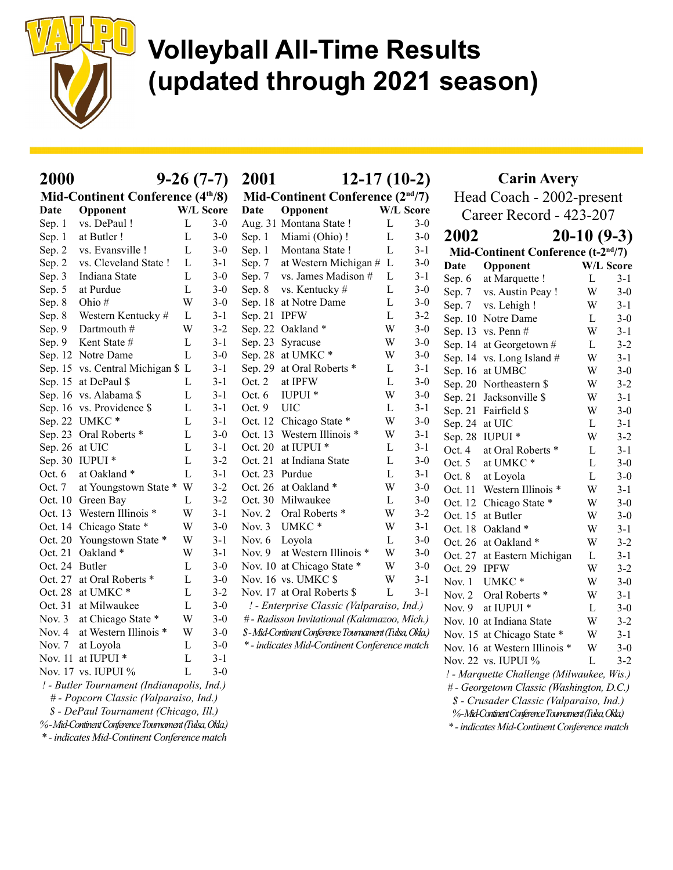

| 2000           |                                                      |              | $9-26(7-7)$      | 2001         | $12-17(10-2)$                                         |             |         | <b>Carin Avery</b> |                                                      |              |                  |
|----------------|------------------------------------------------------|--------------|------------------|--------------|-------------------------------------------------------|-------------|---------|--------------------|------------------------------------------------------|--------------|------------------|
|                | Mid-Continent Conference (4 <sup>th</sup> /8)        |              |                  |              | Mid-Continent Conference $(2nd/7)$                    |             |         |                    | Head Coach - 2002-present                            |              |                  |
| Date           | Opponent                                             |              | <b>W/L Score</b> | Date         | Opponent                                              | W/L Score   |         |                    | Career Record - 423-207                              |              |                  |
| Sep. 1         | vs. DePaul !                                         | L            | $3-0$            |              | Aug. 31 Montana State !                               | L           | $3-0$   |                    |                                                      |              |                  |
| Sep. 1         | at Butler!                                           | $\mathbf{L}$ | $3-0$            | Sep. 1       | Miami (Ohio)!                                         | $\mathbf L$ | $3-0$   | 2002               |                                                      | $20-10(9-3)$ |                  |
| Sep. 2         | vs. Evansville !                                     | L            | $3-0$            | Sep. 1       | Montana State !                                       | L           | $3-1$   |                    | Mid-Continent Conference (t-2 <sup>nd/7</sup> )      |              |                  |
| Sep. 2         | vs. Cleveland State !                                | L            | $3-1$            | Sep. 7       | at Western Michigan # L                               |             | $3 - 0$ | Date               | Opponent                                             |              | <b>W/L Score</b> |
| Sep. 3         | Indiana State                                        | L            | $3-0$            | Sep. 7       | vs. James Madison #                                   | L           | $3-1$   | Sep. 6             | at Marquette !                                       | L            | $3-1$            |
| Sep. 5         | at Purdue                                            | L            | $3-0$            | Sep. 8       | vs. Kentucky #                                        | L           | $3 - 0$ | Sep. 7             | vs. Austin Peay !                                    | W            | $3-0$            |
| Sep. 8         | Ohio#                                                | W            | $3-0$            |              | Sep. 18 at Notre Dame                                 | L           | $3 - 0$ | Sep. 7             | vs. Lehigh !                                         | W            | $3 - 1$          |
| Sep. 8         | Western Kentucky #                                   | L            | $3-1$            | Sep. 21 IPFW |                                                       | L           | $3 - 2$ |                    | Sep. 10 Notre Dame                                   | L            | $3-0$            |
| Sep. 9         | Dartmouth #                                          | W            | $3 - 2$          |              | Sep. 22 Oakland *                                     | W           | $3-0$   |                    | Sep. 13 vs. Penn #                                   | W            | $3 - 1$          |
| Sep. 9         | Kent State #                                         | L            | $3-1$            |              | Sep. 23 Syracuse                                      | W           | $3-0$   |                    | Sep. 14 at Georgetown #                              | L            | $3 - 2$          |
|                | Sep. 12 Notre Dame                                   | $\mathbf{L}$ | $3-0$            |              | Sep. 28 at UMKC*                                      | W           | $3 - 0$ |                    | Sep. 14 vs. Long Island #                            | W            | $3-1$            |
|                | Sep. 15 vs. Central Michigan \$ L                    |              | $3 - 1$          |              | Sep. 29 at Oral Roberts *                             | L           | $3 - 1$ |                    | Sep. 16 at UMBC                                      | W            | $3-0$            |
|                | Sep. 15 at DePaul \$                                 | L            | 3-1              | Oct. 2       | at IPFW                                               | L           | $3-0$   |                    | Sep. 20 Northeastern \$                              | W            | $3 - 2$          |
|                | Sep. 16 vs. Alabama \$                               | L            | $3 - 1$          | Oct. 6       | IUPUI *                                               | W           | $3-0$   |                    | Sep. 21 Jacksonville \$                              | W            | $3 - 1$          |
|                | Sep. 16 vs. Providence \$                            | L            | $3-1$            | Oct. 9       | <b>UIC</b>                                            | L           | $3 - 1$ |                    | Sep. 21 Fairfield \$                                 | W            | $3-0$            |
|                | Sep. 22 UMKC*                                        | L            | $3-1$            |              | Oct. 12 Chicago State *                               | W           | $3 - 0$ |                    | Sep. 24 at UIC                                       | L            | $3-1$            |
|                | Sep. 23 Oral Roberts *                               | L            | $3-0$            |              | Oct. 13 Western Illinois *                            | W           | $3 - 1$ |                    | Sep. 28 IUPUI *                                      | W            | $3 - 2$          |
|                | Sep. 26 at UIC                                       | L            | $3-1$            |              | Oct. 20 at IUPUI *                                    | L           | $3 - 1$ | Oct. $4$           | at Oral Roberts *                                    | L            | $3 - 1$          |
|                | Sep. 30 IUPUI *                                      | L            | $3 - 2$          |              | Oct. 21 at Indiana State                              | L           | $3-0$   | Oct. $5$           | at UMKC*                                             | L            | $3 - 0$          |
| Oct. $6$       | at Oakland *                                         | L            | $3-1$            |              | Oct. 23 Purdue                                        | L           | $3 - 1$ | Oct. $8$           | at Loyola                                            | $\mathbf L$  | $3 - 0$          |
| Oct. 7         | at Youngstown State * W                              |              | $3 - 2$          |              | Oct. 26 at Oakland *                                  | W           | $3-0$   |                    | Oct. 11 Western Illinois *                           | W            | $3-1$            |
|                | Oct. 10 Green Bay                                    | L            | $3 - 2$          |              | Oct. 30 Milwaukee                                     | L           | $3 - 0$ |                    | Oct. 12 Chicago State *                              | W            | $3 - 0$          |
|                | Oct. 13 Western Illinois *                           | W            | 3-1              | Nov. $2$     | Oral Roberts *                                        | W           | $3 - 2$ |                    | Oct. 15 at Butler                                    | W            | $3 - 0$          |
|                | Oct. 14 Chicago State *                              | W            | $3-0$            | Nov. 3       | UMKC*                                                 | W           | $3-1$   |                    | Oct. 18 Oakland *                                    | W            | $3-1$            |
|                | Oct. 20 Youngstown State *                           | W            | $3-1$            | Nov. $6$     | Loyola                                                | L           | $3 - 0$ |                    | Oct. 26 at Oakland *                                 | W            | $3 - 2$          |
|                | Oct. 21 Oakland *                                    | W            | 3-1              | Nov. $9$     | at Western Illinois *                                 | W           | $3-0$   |                    | Oct. 27 at Eastern Michigan                          | L            | $3 - 1$          |
| Oct. 24 Butler |                                                      | L            | $3-0$            |              | Nov. 10 at Chicago State *                            | W           | $3-0$   | Oct. 29 IPFW       |                                                      | W            | $3 - 2$          |
|                | Oct. 27 at Oral Roberts *                            | L            | $3-0$            |              | Nov. 16 vs. UMKC \$                                   | W           | $3-1$   |                    | Nov. 1 UMKC*                                         | W            | $3 - 0$          |
|                | Oct. 28 at UMKC*                                     | L            | $3 - 2$          |              | Nov. 17 at Oral Roberts \$                            | L           | $3 - 1$ | Nov. $2$           | Oral Roberts *                                       | W            | $3-1$            |
|                | Oct. 31 at Milwaukee                                 | L            | $3-0$            |              | ! - Enterprise Classic (Valparaiso, Ind.)             |             |         | Nov. $9$           | at IUPUI <sup>*</sup>                                | L            | $3 - 0$          |
| Nov. $3$       | at Chicago State *                                   | W            | $3-0$            |              | # - Radisson Invitational (Kalamazoo, Mich.)          |             |         |                    | Nov. 10 at Indiana State                             | W            | $3 - 2$          |
| Nov. $4$       | at Western Illinois *                                | W            | $3-0$            |              | \$-Mid-Continent Conference Tournament (Tulsa, Okla.) |             |         |                    | Nov. 15 at Chicago State *                           | W            | $3 - 1$          |
| Nov. $7$       | at Loyola                                            | L            | $3-0$            |              | * - indicates Mid-Continent Conference match          |             |         |                    | Nov. 16 at Western Illinois *                        | W            | $3 - 0$          |
|                | Nov. 11 at IUPUI *                                   | L            | $3-1$            |              |                                                       |             |         |                    | Nov. 22 vs. IUPUI %                                  | $\mathbf{L}$ | $3 - 2$          |
|                | Nov. 17 vs. IUPUI %                                  | L            | $3-0$            |              |                                                       |             |         |                    | ! - Marquette Challenge (Milwaukee, Wis.)            |              |                  |
|                | ! - Butler Tournament (Indianapolis, Ind.)           |              |                  |              |                                                       |             |         |                    | # - Georgetown Classic (Washington, D.C.)            |              |                  |
|                | # - Popcorn Classic (Valparaiso, Ind.)               |              |                  |              |                                                       |             |         |                    | \$ - Crusader Classic (Valparaiso, Ind.)             |              |                  |
|                | \$ - DePaul Tournament (Chicago, Ill.)               |              |                  |              |                                                       |             |         |                    | %-Mid-Continent Conference Tournament (Tulsa, Okla.) |              |                  |
|                | %-Mid-Continent Conference Tournament (Tulsa, Okla.) |              |                  |              |                                                       |             |         |                    | * - indicates Mid-Continent Conference match         |              |                  |

\* - indicates Mid-Continent Conference match

\* - indicates Mid-Continent Conference match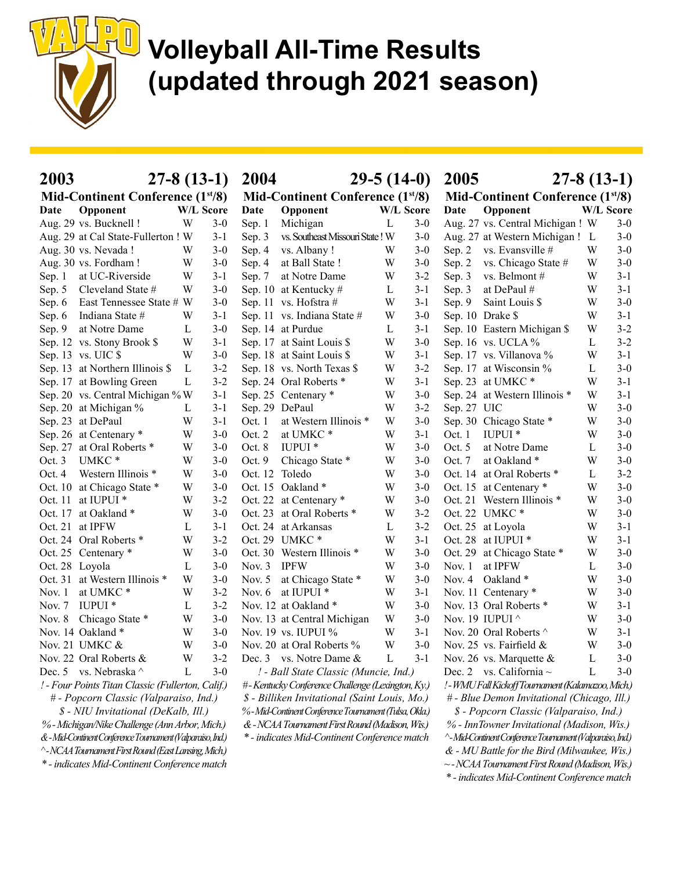

| 2003                                                                                                       | $27-8(13-1)$ |         | 2004           |                                                                                                         |             | $29-5(14-0)$ | 2005        | $27-8(13-1)$                                                                                        |              |         |
|------------------------------------------------------------------------------------------------------------|--------------|---------|----------------|---------------------------------------------------------------------------------------------------------|-------------|--------------|-------------|-----------------------------------------------------------------------------------------------------|--------------|---------|
| Mid-Continent Conference (1 <sup>st</sup> /8)                                                              |              |         |                | Mid-Continent Conference (1 <sup>st/8)</sup>                                                            |             |              |             | Mid-Continent Conference (1 <sup>st</sup> /8)                                                       |              |         |
| Opponent<br>Date                                                                                           | W/L Score    |         | Date           | Opponent                                                                                                | W/L Score   |              | Date        | Opponent                                                                                            | W/L Score    |         |
| Aug. 29 vs. Bucknell !                                                                                     | W            | $3-0$   | Sep. 1         | Michigan                                                                                                | L           | $3 - 0$      |             | Aug. 27 vs. Central Michigan ! W                                                                    |              | $3-0$   |
| Aug. 29 at Cal State-Fullerton ! W                                                                         |              | $3-1$   | Sep. 3         | vs. Southeast Missouri State! W                                                                         |             | $3-0$        |             | Aug. 27 at Western Michigan ! L                                                                     |              | $3-0$   |
| Aug. 30 vs. Nevada!                                                                                        | W            | $3-0$   | Sep. 4         | vs. Albany!                                                                                             | W           | $3-0$        |             | Sep. 2 vs. Evansville #                                                                             | W            | $3 - 0$ |
| Aug. 30 vs. Fordham!                                                                                       | W            | $3-0$   | Sep. 4         | at Ball State !                                                                                         | W           | $3-0$        | Sep. 2      | vs. Chicago State #                                                                                 | W            | $3-0$   |
| at UC-Riverside<br>Sep. $1$                                                                                | W            | $3-1$   | Sep. 7         | at Notre Dame                                                                                           | W           | $3 - 2$      | Sep. 3      | vs. Belmont #                                                                                       | W            | $3 - 1$ |
| Cleveland State #<br>Sep. 5                                                                                | W            | $3-0$   |                | Sep. 10 at Kentucky #                                                                                   | L           | $3 - 1$      | Sep. 3      | at DePaul #                                                                                         | W            | $3 - 1$ |
| East Tennessee State # W<br>Sep. 6                                                                         |              | $3-0$   |                | Sep. 11 vs. Hofstra #                                                                                   | W           | $3 - 1$      | Sep. 9      | Saint Louis \$                                                                                      | W            | $3-0$   |
| Indiana State #<br>Sep. 6                                                                                  | W            | $3-1$   |                | Sep. 11 vs. Indiana State #                                                                             | W           | $3-0$        |             | Sep. 10 Drake \$                                                                                    | W            | $3 - 1$ |
| at Notre Dame<br>Sep. 9                                                                                    | L            | $3-0$   |                | Sep. 14 at Purdue                                                                                       | L           | $3 - 1$      |             | Sep. 10 Eastern Michigan \$                                                                         | W            | $3 - 2$ |
| Sep. 12 vs. Stony Brook \$                                                                                 | W            | $3 - 1$ |                | Sep. 17 at Saint Louis \$                                                                               | W           | $3 - 0$      |             | Sep. 16 vs. UCLA %                                                                                  | L            | $3 - 2$ |
| Sep. $13$ vs. UIC $$$                                                                                      | W            | $3-0$   |                | Sep. 18 at Saint Louis \$                                                                               | W           | $3-1$        |             | Sep. 17 vs. Villanova %                                                                             | W            | $3 - 1$ |
| Sep. 13 at Northern Illinois \$                                                                            | L            | $3 - 2$ |                | Sep. 18 vs. North Texas \$                                                                              | W           | $3 - 2$      |             | Sep. 17 at Wisconsin %                                                                              | L            | $3-0$   |
| Sep. 17 at Bowling Green                                                                                   | L            | $3 - 2$ |                | Sep. 24 Oral Roberts *                                                                                  | W           | $3 - 1$      |             | Sep. 23 at UMKC*                                                                                    | W            | $3 - 1$ |
| Sep. 20 vs. Central Michigan % W                                                                           |              | $3-1$   |                | Sep. 25 Centenary *                                                                                     | W           | $3-0$        |             | Sep. 24 at Western Illinois *                                                                       | W            | $3 - 1$ |
| Sep. 20 at Michigan %                                                                                      | L            | $3 - 1$ | Sep. 29 DePaul |                                                                                                         | W           | $3 - 2$      | Sep. 27 UIC |                                                                                                     | W            | $3-0$   |
| Sep. 23 at DePaul                                                                                          | W            | $3-1$   | Oct. 1         | at Western Illinois *                                                                                   | W           | $3 - 0$      |             | Sep. 30 Chicago State *                                                                             | W            | $3-0$   |
| Sep. 26 at Centenary *                                                                                     | W            | $3-0$   | Oct. $2$       | at UMKC*                                                                                                | W           | $3 - 1$      | Oct. 1      | IUPUI <sup>*</sup>                                                                                  | W            | $3 - 0$ |
| Sep. 27 at Oral Roberts *                                                                                  | W            | $3-0$   | Oct. 8         | IUPUI <sup>*</sup>                                                                                      | W           | $3-0$        | Oct. 5      | at Notre Dame                                                                                       | L            | $3-0$   |
| UMKC*<br>Oct. 3                                                                                            | W            | $3-0$   | Oct. 9         | Chicago State *                                                                                         | W           | $3 - 0$      | Oct. 7      | at Oakland*                                                                                         | W            | $3 - 0$ |
| Western Illinois *<br>Oct. 4                                                                               | W            | $3-0$   | Oct. 12 Toledo |                                                                                                         | W           | $3-0$        |             | Oct. 14 at Oral Roberts *                                                                           | L            | $3 - 2$ |
| Oct. 10 at Chicago State *                                                                                 | W            | $3-0$   |                | Oct. 15 Oakland *                                                                                       | W           | $3-0$        |             | Oct. 15 at Centenary *                                                                              | W            | $3-0$   |
| at IUPUI <sup>*</sup><br>Oct. 11                                                                           | W            | $3 - 2$ |                | Oct. 22 at Centenary *                                                                                  | W           | $3 - 0$      |             | Oct. 21 Western Illinois *                                                                          | W            | $3 - 0$ |
| Oct. 17 at Oakland *                                                                                       | W            | $3-0$   |                | Oct. 23 at Oral Roberts *                                                                               | W           | $3 - 2$      |             | Oct. 22 UMKC*                                                                                       | W            | $3-0$   |
| Oct. 21 at IPFW                                                                                            | L            | $3-1$   |                | Oct. 24 at Arkansas                                                                                     | L           | $3 - 2$      |             | Oct. 25 at Loyola                                                                                   | W            | $3 - 1$ |
| Oct. 24 Oral Roberts *                                                                                     | W            | $3 - 2$ |                | Oct. 29 UMKC*                                                                                           | W           | $3-1$        |             | Oct. 28 at IUPUI *                                                                                  | W            | $3 - 1$ |
| Oct. 25 Centenary *                                                                                        | W            | $3-0$   |                | Oct. 30 Western Illinois *                                                                              | W           | $3 - 0$      |             | Oct. 29 at Chicago State *                                                                          | W            | $3 - 0$ |
| Oct. 28 Loyola                                                                                             | L            | $3-0$   | Nov. 3 IPFW    |                                                                                                         | W           | $3-0$        | Nov. $1$    | at IPFW                                                                                             | L            | $3-0$   |
| Oct. 31 at Western Illinois *                                                                              | W            | $3-0$   | Nov. $5$       | at Chicago State *                                                                                      | W           | $3-0$        | Nov. $4$    | Oakland*                                                                                            | W            | $3-0$   |
| at UMKC*<br>Nov. $1$                                                                                       | W            | $3 - 2$ |                | Nov. 6 at IUPUI *                                                                                       | W           | $3 - 1$      |             | Nov. 11 Centenary *                                                                                 | W            | $3-0$   |
| IUPUI <sup>*</sup><br>Nov. $7$                                                                             | L            | $3 - 2$ |                | Nov. 12 at Oakland *                                                                                    | W           | $3-0$        |             | Nov. 13 Oral Roberts *                                                                              | W            | $3 - 1$ |
| Chicago State *<br>Nov. $8$                                                                                | W            | $3 - 0$ |                | Nov. 13 at Central Michigan                                                                             | W           | $3 - 0$      |             | Nov. 19 IUPUI ^                                                                                     | W            | $3-0$   |
| Nov. 14 Oakland *                                                                                          | W            | $3-0$   |                | Nov. 19 vs. IUPUI %                                                                                     | W           | $3 - 1$      |             | Nov. 20 Oral Roberts ^                                                                              | W            | $3-1$   |
| Nov. 21 UMKC &                                                                                             | W            | $3-0$   |                | Nov. 20 at Oral Roberts %                                                                               | W           | $3 - 0$      |             | Nov. 25 vs. Fairfield &                                                                             | W            | $3-0$   |
| Nov. 22 Oral Roberts &                                                                                     | <b>W</b>     | $3 - 2$ |                | Dec. 3 vs. Notre Dame &                                                                                 | $\mathbf L$ | $3-1$        |             | Nov. 26 vs. Marquette $\&$                                                                          | $\mathbf{L}$ | $3-0$   |
| Dec. 5 vs. Nebraska ^                                                                                      | L            | $3 - 0$ |                | ! - Ball State Classic (Muncie, Ind.)                                                                   |             |              |             | Dec. 2 vs. California $\sim$                                                                        | L            | $3-0$   |
| ! - Four Points Titan Classic (Fullerton, Calif.)                                                          |              |         |                | #-Kentucky Conference Challenge (Lexington, Ky.)                                                        |             |              |             | ! - WMU Fall Kickoff Tournament (Kalamazoo, Mich.)                                                  |              |         |
| # - Popcorn Classic (Valparaiso, Ind.)                                                                     |              |         |                | \$ - Billiken Invitational (Saint Louis, Mo.)                                                           |             |              |             | # - Blue Demon Invitational (Chicago, Ill.)                                                         |              |         |
|                                                                                                            |              |         |                |                                                                                                         |             |              |             |                                                                                                     |              |         |
| \$ - NIU Invitational (DeKalb, Ill.)                                                                       |              |         |                | %-Mid-Continent Conference Tournament (Tulsa, Okla.)<br>& - NCAA Tournament First Round (Madison, Wis.) |             |              |             | \$ - Popcorn Classic (Valparaiso, Ind.)                                                             |              |         |
| % - Michigan/Nike Challenge (Ann Arbor, Mich.)<br>&-Mid-Continent Conference Tournament (Valparaiso, Ind.) |              |         |                | * - indicates Mid-Continent Conference match                                                            |             |              |             | % - InnTowner Invitational (Madison, Wis.)                                                          |              |         |
| ^-NCAA Tournament First Round (East Lansing, Mich.)                                                        |              |         |                |                                                                                                         |             |              |             | ^- Mid-Continent Conference Tournament (Valparaiso, Ind.)                                           |              |         |
| * - indicates Mid-Continent Conference match                                                               |              |         |                |                                                                                                         |             |              |             | & - MU Battle for the Bird (Milwaukee, Wis.)<br>$\sim$ -NCAA Tournament First Round (Madison, Wis.) |              |         |
|                                                                                                            |              |         |                |                                                                                                         |             |              |             |                                                                                                     |              |         |

\* - indicates Mid-Continent Conference match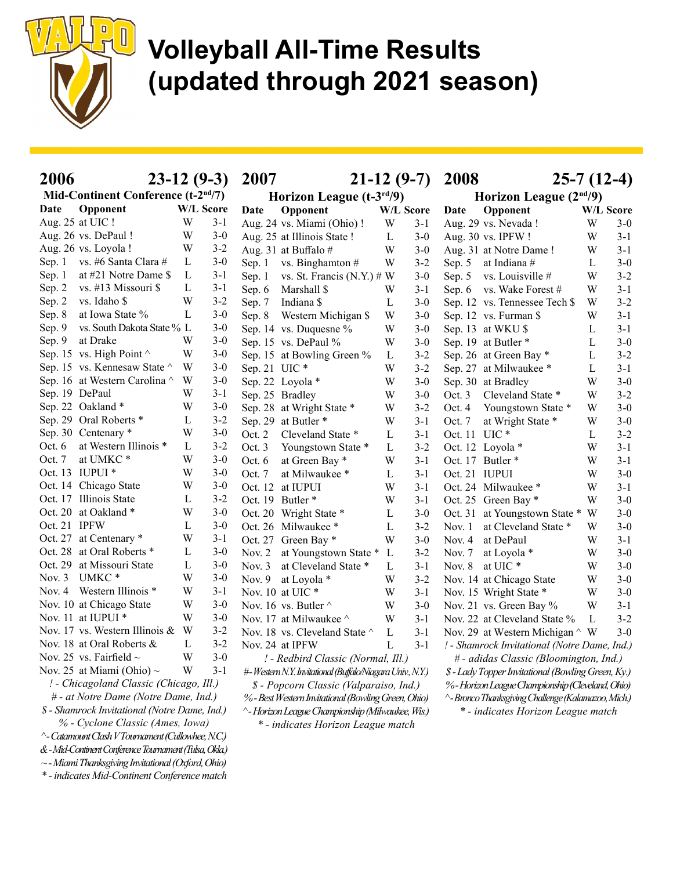

| 2006                                                   |                                  |              |         | $23-12(9-3)$ 2007 |                                                           |             | $21-12(9-7)$ | 2008          | $25-7(12-4)$                                        |           |         |
|--------------------------------------------------------|----------------------------------|--------------|---------|-------------------|-----------------------------------------------------------|-------------|--------------|---------------|-----------------------------------------------------|-----------|---------|
| Mid-Continent Conference (t-2 <sup>nd</sup> /7)        |                                  |              |         |                   | Horizon League $(t-3rd/9)$                                |             |              |               | Horizon League $(2nd/9)$                            |           |         |
| Opponent<br>Date                                       |                                  | W/L Score    |         | Date              | Opponent                                                  |             | W/L Score    | Date          | Opponent                                            | W/L Score |         |
| Aug. 25 at UIC!                                        |                                  | W            | $3-1$   |                   | Aug. 24 vs. Miami (Ohio)!                                 | W           | $3-1$        |               | Aug. 29 vs. Nevada!                                 | W         | $3-0$   |
| Aug. 26 vs. DePaul !                                   |                                  | W            | $3-0$   |                   | Aug. 25 at Illinois State !                               | L           | $3-0$        |               | Aug. 30 vs. IPFW!                                   | W         | $3 - 1$ |
| Aug. 26 vs. Loyola !                                   |                                  | W            | $3-2$   |                   | Aug. 31 at Buffalo#                                       | W           | $3-0$        |               | Aug. 31 at Notre Dame!                              | W         | $3 - 1$ |
| Sep. 1 vs. #6 Santa Clara #                            |                                  | $\mathbf{L}$ | $3-0$   |                   | Sep. 1 vs. Binghamton $#$                                 | W           | $3 - 2$      |               | Sep. 5 at Indiana $#$                               | L         | $3-0$   |
| Sep. $1$                                               | at #21 Notre Dame \$             | L            | $3-1$   |                   | Sep. 1 vs. St. Francis (N.Y.) $# W$                       |             | $3-0$        |               | Sep. 5 vs. Louisville #                             | W         | $3 - 2$ |
| Sep. 2 vs. #13 Missouri \$                             |                                  | L            | $3 - 1$ |                   | Sep. 6 Marshall \$                                        | W           | $3 - 1$      |               | Sep. 6 vs. Wake Forest #                            | W         | $3 - 1$ |
| vs. Idaho \$<br>Sep. 2                                 |                                  | W            | $3 - 2$ | Sep. $7$          | Indiana \$                                                | L           | $3-0$        |               | Sep. 12 vs. Tennessee Tech \$                       | W         | $3 - 2$ |
| at Iowa State %<br>Sep. 8                              |                                  | L            | $3-0$   |                   | Sep. 8 Western Michigan \$                                | W           | $3-0$        |               | Sep. 12 vs. Furman \$                               | W         | $3 - 1$ |
| Sep. 9                                                 | vs. South Dakota State % L       |              | $3-0$   |                   | Sep. 14 vs. Duquesne %                                    | W           | $3-0$        |               | Sep. 13 at WKU \$                                   | L         | $3 - 1$ |
| at Drake<br>Sep. 9                                     |                                  | W            | $3-0$   |                   | Sep. 15 vs. DePaul %                                      | W           | $3-0$        |               | Sep. 19 at Butler*                                  | L         | $3 - 0$ |
| Sep. 15 vs. High Point $\wedge$                        |                                  | W            | $3-0$   |                   | Sep. 15 at Bowling Green %                                | L           | $3 - 2$      |               | Sep. 26 at Green Bay *                              | L         | $3 - 2$ |
| Sep. 15 vs. Kennesaw State ^ W                         |                                  |              | $3-0$   | Sep. 21 UIC*      |                                                           | W           | $3 - 2$      |               | Sep. 27 at Milwaukee *                              | L         | $3-1$   |
| Sep. 16 at Western Carolina ^ W                        |                                  |              | $3-0$   |                   | Sep. 22 Loyola *                                          | W           | $3-0$        |               | Sep. 30 at Bradley                                  | W         | $3 - 0$ |
| Sep. 19 DePaul                                         |                                  | W            | $3 - 1$ |                   | Sep. 25 Bradley                                           | W           | $3-0$        |               | Oct. 3 Cleveland State *                            | W         | $3 - 2$ |
| Sep. 22 Oakland *                                      |                                  | W            | $3 - 0$ |                   | Sep. 28 at Wright State *                                 | W           | $3 - 2$      |               | Oct. 4 Youngstown State *                           | W         | $3 - 0$ |
| Sep. 29 Oral Roberts *                                 |                                  | L            | $3 - 2$ |                   | Sep. 29 at Butler*                                        | W           | $3 - 1$      | Oct. 7        | at Wright State *                                   | W         | $3 - 0$ |
| Sep. 30 Centenary *                                    |                                  | W            | $3-0$   |                   | Oct. 2 Cleveland State *                                  | L           | $3 - 1$      | Oct. 11 UIC * |                                                     | L         | $3 - 2$ |
| Oct. 6 at Western Illinois *                           |                                  | L            | $3 - 2$ | Oct. $3$          | Youngstown State *                                        | L           | $3 - 2$      |               | Oct. 12 Loyola *                                    | W         | $3 - 1$ |
| at UMKC*<br>Oct. 7                                     |                                  | W            | $3-0$   | Oct. 6            | at Green Bay *                                            | W           | $3 - 1$      |               | Oct. 17 Butler *                                    | W         | $3 - 1$ |
| Oct. 13 IUPUI *                                        |                                  | W            | $3-0$   | Oct. $7$          | at Milwaukee *                                            | L           | $3-1$        | Oct. 21 IUPUI |                                                     | W         | $3 - 0$ |
| Oct. 14 Chicago State                                  |                                  | W            | $3-0$   |                   | Oct. 12 at IUPUI                                          | W           | $3-1$        |               | Oct. 24 Milwaukee *                                 | W         | $3-1$   |
| Oct. 17 Illinois State                                 |                                  | L            | $3 - 2$ |                   | Oct. 19 Butler *                                          | W           | $3-1$        |               | Oct. 25 Green Bay *                                 | W         | $3 - 0$ |
| Oct. 20 at Oakland *                                   |                                  | W            | $3-0$   |                   | Oct. 20 Wright State *                                    | L           | $3-0$        |               | Oct. 31 at Youngstown State * W                     |           | $3 - 0$ |
| Oct. 21 IPFW                                           |                                  | L            | $3-0$   |                   | Oct. 26 Milwaukee *                                       | L           | $3 - 2$      |               | Nov. 1 at Cleveland State *                         | W         | $3 - 0$ |
| Oct. 27 at Centenary *                                 |                                  | W            | $3-1$   |                   | Oct. 27 Green Bay *                                       | W           | $3-0$        |               | Nov. 4 at DePaul                                    | W         | $3-1$   |
| Oct. 28 at Oral Roberts *                              |                                  | L            | $3-0$   |                   | Nov. 2 at Youngstown State * L                            |             | $3 - 2$      |               | Nov. 7 at Loyola $*$                                | W         | $3 - 0$ |
| Oct. 29 at Missouri State                              |                                  | L            | $3-0$   |                   | Nov. 3 at Cleveland State *                               | L           | $3 - 1$      |               | Nov. 8 at UIC*                                      | W         | $3 - 0$ |
| UMKC <sup>*</sup><br>Nov. $3$                          |                                  | W            | $3-0$   |                   | Nov. 9 at Loyola *                                        | W           | $3 - 2$      |               | Nov. 14 at Chicago State                            | W         | $3 - 0$ |
| Nov. 4 Western Illinois *                              |                                  | W            | $3 - 1$ |                   | Nov. 10 at UIC*                                           | W           | $3-1$        |               | Nov. 15 Wright State *                              | W         | $3 - 0$ |
| Nov. 10 at Chicago State                               |                                  | W            | $3-0$   |                   | Nov. 16 vs. Butler $\wedge$                               | W           | $3-0$        |               | Nov. 21 vs. Green Bay %                             | W         | $3 - 1$ |
| Nov. 11 at IUPUI *                                     |                                  | W            | $3-0$   |                   | Nov. 17 at Milwaukee $\wedge$                             | W           | $3 - 1$      |               | Nov. 22 at Cleveland State %                        | L         | $3 - 2$ |
| Nov. 17 vs. Western Illinois & W                       |                                  |              | $3-2$   |                   | Nov. 18 vs. Cleveland State $\wedge$                      | L           | $3-1$        |               | Nov. 29 at Western Michigan $\wedge$ W              |           | $3 - 0$ |
| Nov. 18 at Oral Roberts &                              |                                  | L            | $3 - 2$ |                   | Nov. 24 at IPFW                                           | $\mathbf L$ | $3 - 1$      |               | ! - Shamrock Invitational (Notre Dame, Ind.)        |           |         |
| Nov. 25 vs. Fairfield $\sim$                           |                                  | W            | $3-0$   |                   | ! - Redbird Classic (Normal, Ill.)                        |             |              |               | # - adidas Classic (Bloomington, Ind.)              |           |         |
| Nov. 25 at Miami (Ohio) $\sim$                         |                                  | W            | $3-1$   |                   | #-Western N.Y. Invitational (Buffalo/Niagara Univ., N.Y.) |             |              |               | \$ - Lady Topper Invitational (Bowling Green, Ky.)  |           |         |
| ! - Chicagoland Classic (Chicago, Ill.)                |                                  |              |         |                   | \$ - Popcorn Classic (Valparaiso, Ind.)                   |             |              |               | %-Horizon League Championship (Cleveland, Ohio)     |           |         |
| # - at Notre Dame (Notre Dame, Ind.)                   |                                  |              |         |                   | %-Best Western Invitational (Bowling Green, Ohio)         |             |              |               | ^- Bronco Thanksgiving Challenge (Kalamazoo, Mich.) |           |         |
| \$ - Shamrock Invitational (Notre Dame, Ind.)          |                                  |              |         |                   | ^- Horizon League Championship (Milwaukee, Wis.)          |             |              |               | * - indicates Horizon League match                  |           |         |
|                                                        | % - Cyclone Classic (Ames, Iowa) |              |         |                   | * - indicates Horizon League match                        |             |              |               |                                                     |           |         |
| ^- Catamount Clash V Tournament (Cullowhee, N.C.)      |                                  |              |         |                   |                                                           |             |              |               |                                                     |           |         |
| &-Mid-Continent Conference Tournament (Tulsa, Okla.)   |                                  |              |         |                   |                                                           |             |              |               |                                                     |           |         |
| $\sim$ -Miami Thanksgiving Invitational (Oxford, Ohio) |                                  |              |         |                   |                                                           |             |              |               |                                                     |           |         |
| * - indicates Mid-Continent Conference match           |                                  |              |         |                   |                                                           |             |              |               |                                                     |           |         |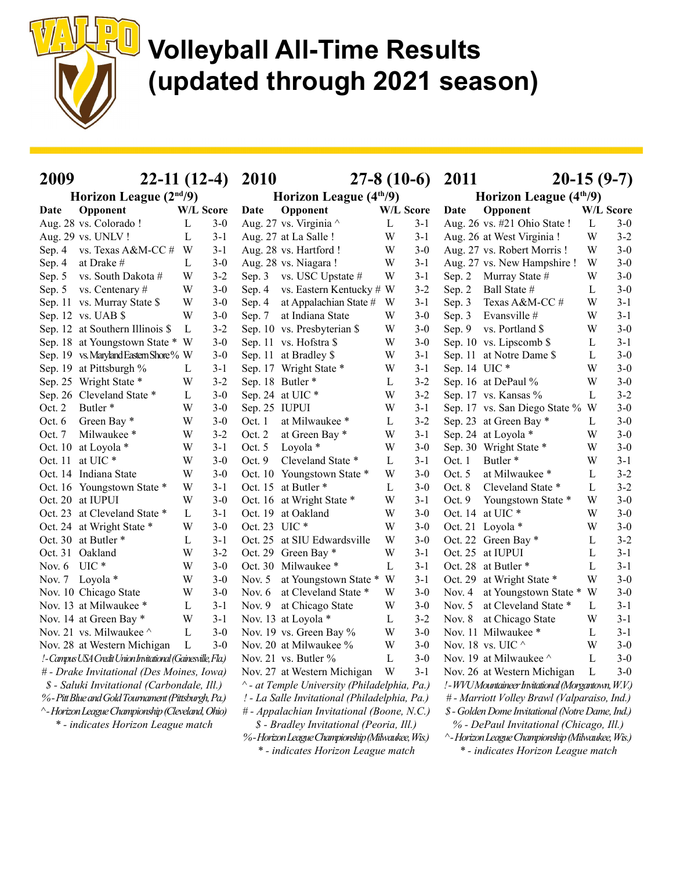

| 2009                | $22-11(12-4)$ 2010                                           |              |         |               |                                                 |                                                  |         |              | $27-8(10-6)$ 2011                                   | $20-15(9-7)$ |         |  |
|---------------------|--------------------------------------------------------------|--------------|---------|---------------|-------------------------------------------------|--------------------------------------------------|---------|--------------|-----------------------------------------------------|--------------|---------|--|
|                     | Horizon League $(2nd/9)$                                     |              |         |               | Horizon League $(4th/9)$                        |                                                  |         |              | Horizon League $(4th/9)$                            |              |         |  |
| Date                | Opponent                                                     | W/L Score    |         | Date          | Opponent                                        | W/L Score                                        |         | Date         | Opponent                                            | W/L Score    |         |  |
|                     | Aug. 28 vs. Colorado !                                       | L            | $3-0$   |               | Aug. 27 vs. Virginia ^                          | L                                                | $3 - 1$ |              | Aug. 26 vs. #21 Ohio State !                        | $\mathbf{L}$ | $3-0$   |  |
| Aug. 29 vs. UNLV!   |                                                              | L            | $3-1$   |               | Aug. 27 at La Salle!                            | W                                                | $3-1$   |              | Aug. 26 at West Virginia !                          | W            | $3 - 2$ |  |
|                     | Sep. 4 vs. Texas A&M-CC #                                    | W            | $3-1$   |               | Aug. 28 vs. Hartford !                          | W                                                | $3-0$   |              | Aug. 27 vs. Robert Morris!                          | W            | $3-0$   |  |
| Sep. 4              | at Drake #                                                   | L            | $3-0$   |               | Aug. 28 vs. Niagara!                            | W                                                | $3-1$   |              | Aug. 27 vs. New Hampshire!                          | W            | $3-0$   |  |
| Sep. $5$            | vs. South Dakota #                                           | W            | $3 - 2$ | Sep. 3        | vs. USC Upstate #                               | W                                                | $3 - 1$ | Sep. $2$     | Murray State #                                      | W            | $3-0$   |  |
|                     | Sep. 5 vs. Centenary #                                       | W            | $3-0$   | Sep. $4$      | vs. Eastern Kentucky # W                        |                                                  | $3 - 2$ | Sep. 2       | Ball State #                                        | L            | $3 - 0$ |  |
|                     | Sep. 11 vs. Murray State \$                                  | W            | $3-0$   | Sep. 4        | at Appalachian State # W                        |                                                  | $3-1$   | Sep. 3       | Texas A&M-CC#                                       | W            | $3 - 1$ |  |
| Sep. 12 vs. UAB \$  |                                                              | W            | $3-0$   | Sep. 7        | at Indiana State                                | W                                                | $3-0$   | Sep. 3       | Evansville #                                        | W            | $3 - 1$ |  |
|                     | Sep. 12 at Southern Illinois \$                              | L            | $3 - 2$ |               | Sep. 10 vs. Presbyterian \$                     | W                                                | $3-0$   | Sep. $9$     | vs. Portland \$                                     | W            | $3 - 0$ |  |
|                     | Sep. 18 at Youngstown State * W                              |              | $3-0$   |               | Sep. 11 vs. Hofstra \$                          | W                                                | $3-0$   |              | Sep. 10 vs. Lipscomb \$                             | L            | $3 - 1$ |  |
|                     | Sep. 19 vs. Maryland Eastern Shore % W                       |              | $3-0$   |               | Sep. 11 at Bradley \$                           | W                                                | $3-1$   |              | Sep. 11 at Notre Dame \$                            | L            | $3 - 0$ |  |
|                     | Sep. 19 at Pittsburgh %                                      | L            | $3-1$   |               | Sep. 17 Wright State *                          | W                                                | $3 - 1$ | Sep. 14 UIC* |                                                     | W            | $3 - 0$ |  |
|                     | Sep. 25 Wright State *                                       | W            | $3 - 2$ |               | Sep. 18 Butler *                                | L                                                | $3 - 2$ |              | Sep. 16 at DePaul %                                 | W            | $3 - 0$ |  |
|                     | Sep. 26 Cleveland State *                                    | L            | $3-0$   |               | Sep. 24 at UIC *                                | W                                                | $3 - 2$ |              | Sep. 17 vs. Kansas %                                | L            | $3 - 2$ |  |
| Oct. 2              | Butler <sup>*</sup>                                          | W            | $3-0$   | Sep. 25 IUPUI |                                                 | W                                                | $3 - 1$ |              | Sep. 17 vs. San Diego State % W                     |              | $3-0$   |  |
| Oct. $6$            | Green Bay *                                                  | W            | $3-0$   | Oct. 1        | at Milwaukee *                                  | L                                                | $3 - 2$ |              | Sep. 23 at Green Bay *                              | L            | $3 - 0$ |  |
| Oct. 7              | Milwaukee*                                                   | W            | $3 - 2$ | Oct. 2        | at Green Bay *                                  | W                                                | $3 - 1$ |              | Sep. 24 at Loyola *                                 | W            | $3-0$   |  |
| Oct. 10 at Loyola * |                                                              | W            | $3-1$   | Oct. 5        | Loyola $*$                                      | W                                                | $3-0$   |              | Sep. 30 Wright State *                              | W            | $3-0$   |  |
| Oct. 11 at UIC *    |                                                              | W            | $3-0$   | Oct. 9        | Cleveland State *                               | L                                                | $3 - 1$ | Oct. 1       | Butler <sup>*</sup>                                 | W            | $3 - 1$ |  |
|                     | Oct. 14 Indiana State                                        | W            | $3-0$   |               | Oct. 10 Youngstown State *                      | W                                                | $3-0$   | Oct. $5$     | at Milwaukee *                                      | L            | $3 - 2$ |  |
|                     | Oct. 16 Youngstown State *                                   | W            | $3-1$   |               | Oct. 15 at Butler *                             | L                                                | $3 - 0$ | Oct. 8       | Cleveland State *                                   | L            | $3 - 2$ |  |
| Oct. 20 at IUPUI    |                                                              | W            | $3-0$   |               | Oct. 16 at Wright State *                       | W                                                | $3 - 1$ | Oct. $9$     | Youngstown State *                                  | W            | $3-0$   |  |
|                     | Oct. 23 at Cleveland State *                                 | L            | $3-1$   |               | Oct. 19 at Oakland                              | W                                                | $3-0$   |              | Oct. 14 at UIC*                                     | W            | $3 - 0$ |  |
|                     | Oct. 24 at Wright State *                                    | W            | $3-0$   | Oct. 23 UIC * |                                                 | W                                                | $3 - 0$ |              | Oct. 21 Loyola *                                    | W            | $3 - 0$ |  |
| Oct. 30 at Butler * |                                                              | L            | $3-1$   |               | Oct. 25 at SIU Edwardsville                     | W                                                | $3 - 0$ |              | Oct. 22 Green Bay *                                 | L            | $3 - 2$ |  |
| Oct. 31 Oakland     |                                                              | W            | $3 - 2$ |               | Oct. 29 Green Bay *                             | W                                                | $3 - 1$ |              | Oct. 25 at IUPUI                                    | L            | $3 - 1$ |  |
| Nov. $6$ UIC $*$    |                                                              | W            | $3-0$   |               | Oct. 30 Milwaukee *                             | L                                                | $3 - 1$ |              | Oct. 28 at Butler*                                  | L            | $3 - 1$ |  |
| Nov. 7 Loyola *     |                                                              | W            | $3-0$   | Nov. $5$      | at Youngstown State *                           | W                                                | $3 - 1$ |              | Oct. 29 at Wright State *                           | W            | $3 - 0$ |  |
|                     | Nov. 10 Chicago State                                        | W            | $3-0$   | Nov. $6$      | at Cleveland State *                            | W                                                | $3-0$   | Nov. 4       | at Youngstown State * W                             |              | $3-0$   |  |
|                     | Nov. 13 at Milwaukee *                                       | L            | $3-1$   | Nov. $9$      | at Chicago State                                | W                                                | $3-0$   | Nov. $5$     | at Cleveland State *                                | L            | $3 - 1$ |  |
|                     | Nov. 14 at Green Bay *                                       | W            | $3-1$   |               | Nov. 13 at Loyola *                             | L                                                | $3 - 2$ | Nov. $8$     | at Chicago State                                    | W            | $3-1$   |  |
|                     | Nov. 21 vs. Milwaukee ^                                      | L            | $3-0$   |               | Nov. 19 vs. Green Bay %                         | W                                                | $3 - 0$ |              | Nov. 11 Milwaukee *                                 | L            | $3-1$   |  |
|                     | Nov. 28 at Western Michigan                                  | $\mathbf{L}$ | $3 - 0$ |               | Nov. 20 at Milwaukee %                          | W                                                | $3 - 0$ |              | Nov. 18 vs. UIC $\land$                             | W            | $3 - 0$ |  |
|                     | ! - Campus USA Credit Union Invitational (Gainesville, Fla.) |              |         |               | Nov. 21 vs. Butler %                            | $\mathbf L$                                      | $3 - 0$ |              | Nov. 19 at Milwaukee $\wedge$                       | $\mathbf{L}$ | $3 - 0$ |  |
|                     | # - Drake Invitational (Des Moines, Iowa)                    |              |         |               | Nov. 27 at Western Michigan                     | W                                                | $3-1$   |              | Nov. 26 at Western Michigan                         | L            | $3-0$   |  |
|                     | \$ - Saluki Invitational (Carbondale, Ill.)                  |              |         |               | ^ - at Temple University (Philadelphia, Pa.)    |                                                  |         |              | ! - WVU Mountaineer Invitational (Morgantown, W.V.) |              |         |  |
|                     | % - Pitt Blue and Gold Tournament (Pittsburgh, Pa.)          |              |         |               | ! - La Salle Invitational (Philadelphia, Pa.)   |                                                  |         |              | # - Marriott Volley Brawl (Valparaiso, Ind.)        |              |         |  |
|                     | ^- Horizon League Championship (Cleveland, Ohio)             |              |         |               | # - Appalachian Invitational (Boone, N.C.)      | \$ - Golden Dome Invitational (Notre Dame, Ind.) |         |              |                                                     |              |         |  |
|                     | * - indicates Horizon League match                           |              |         |               | \$ - Bradley Invitational (Peoria, Ill.)        |                                                  |         |              | % - DePaul Invitational (Chicago, Ill.)             |              |         |  |
|                     |                                                              |              |         |               | %-Horizon League Championship (Milwaukee, Wis.) |                                                  |         |              | ^- Horizon League Championship (Milwaukee, Wis.)    |              |         |  |
|                     |                                                              |              |         |               | * - indicates Horizon League match              |                                                  |         |              | * - indicates Horizon League match                  |              |         |  |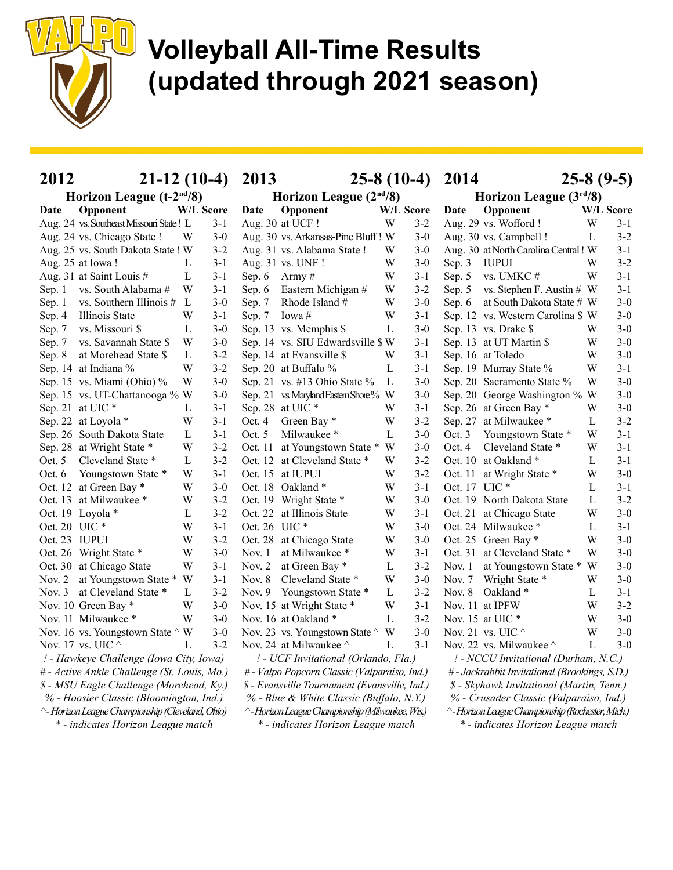

| $21-12(10-4)$<br>2012                            |           |         | 2013                                            | $25-8(10-4)$     |                          | 2014                                             | $25-8(9-5)$      |         |  |
|--------------------------------------------------|-----------|---------|-------------------------------------------------|------------------|--------------------------|--------------------------------------------------|------------------|---------|--|
| Horizon League (t-2 <sup>nd</sup> /8)            |           |         | Horizon League $(2nd/8)$                        |                  | Horizon League $(3rd/8)$ |                                                  |                  |         |  |
| Opponent<br>Date                                 | W/L Score |         | Opponent<br>Date                                | <b>W/L Score</b> |                          | Opponent<br>Date                                 | <b>W/L Score</b> |         |  |
| Aug. 24 vs. Southeast Missouri State! L          |           | $3-1$   | Aug. 30 at UCF!                                 | W                | $3-2$                    | Aug. 29 vs. Wofford !                            | W                | $3 - 1$ |  |
| Aug. 24 vs. Chicago State !                      | W         | $3-0$   | Aug. 30 vs. Arkansas-Pine Bluff! W              |                  | $3-0$                    | Aug. 30 vs. Campbell !                           | L                | $3 - 2$ |  |
| Aug. 25 vs. South Dakota State ! W               |           | $3 - 2$ | Aug. 31 vs. Alabama State !                     | W                | $3-0$                    | Aug. 30 at North Carolina Central! W             |                  | $3 - 1$ |  |
| Aug. 25 at Iowa!                                 | L         | $3-1$   | Aug. 31 vs. UNF!                                | W                | $3-0$                    | Sep. 3<br><b>IUPUI</b>                           | W                | $3 - 2$ |  |
| Aug. 31 at Saint Louis #                         | L         | $3-1$   | Sep. $6$<br>Army#                               | W                | $3-1$                    | vs. UMKC#<br>Sep. 5                              | W                | $3 - 1$ |  |
| vs. South Alabama #<br>Sep. 1                    | W         | $3-1$   | Eastern Michigan #<br>Sep. 6                    | W                | $3-2$                    | vs. Stephen F. Austin # W<br>Sep. 5              |                  | $3-1$   |  |
| vs. Southern Illinois #<br>Sep. 1                | L         | $3-0$   | Rhode Island #<br>Sep. 7                        | W                | $3-0$                    | at South Dakota State # W<br>Sep. 6              |                  | $3 - 0$ |  |
| Illinois State<br>Sep. 4                         | W         | $3-1$   | Iowa#<br>Sep. 7                                 | W                | $3 - 1$                  | Sep. 12 vs. Western Carolina \$ W                |                  | $3 - 0$ |  |
| vs. Missouri \$<br>Sep. 7                        | L         | $3-0$   | Sep. 13 vs. Memphis \$                          | L                | $3-0$                    | Sep. 13 vs. Drake \$                             | W                | $3 - 0$ |  |
| vs. Savannah State \$<br>Sep. 7                  | W         | $3-0$   | Sep. 14 vs. SIU Edwardsville \$W                |                  | $3-1$                    | Sep. 13 at UT Martin \$                          | W                | $3-0$   |  |
| at Morehead State \$<br>Sep. 8                   | L         | $3 - 2$ | Sep. 14 at Evansville \$                        | W                | $3-1$                    | Sep. 16 at Toledo                                | W                | $3-0$   |  |
| Sep. 14 at Indiana %                             | W         | $3 - 2$ | Sep. 20 at Buffalo %                            | L                | $3-1$                    | Sep. 19 Murray State %                           | W                | $3 - 1$ |  |
| Sep. 15 vs. Miami (Ohio) %                       | W         | $3-0$   | Sep. 21 vs. #13 Ohio State %                    | L                | $3-0$                    | Sep. 20 Sacramento State %                       | W                | $3-0$   |  |
| Sep. 15 vs. UT-Chattanooga % W                   |           | $3-0$   | Sep. 21 vs. Maryland Eastern Shore% W           |                  | $3-0$                    | Sep. 20 George Washington % W                    |                  | $3 - 0$ |  |
| Sep. 21 at UIC*                                  | L         | $3-1$   | Sep. 28 at UIC*                                 | W                | $3-1$                    | Sep. 26 at Green Bay *                           | W                | $3 - 0$ |  |
| Sep. 22 at Loyola *                              | W         | $3-1$   | Oct. 4<br>Green Bay*                            | W                | $3 - 2$                  | Sep. 27 at Milwaukee *                           | L                | $3 - 2$ |  |
| Sep. 26 South Dakota State                       | L         | $3-1$   | Milwaukee*<br>Oct. $5$                          | L                | $3 - 0$                  | Youngstown State *<br>Oct. $3$                   | W                | $3 - 1$ |  |
| Sep. 28 at Wright State *                        | W         | $3 - 2$ | Oct. 11<br>at Youngstown State *                | W                | $3-0$                    | Cleveland State *<br>Oct. 4                      | W                | $3-1$   |  |
| Cleveland State *<br>Oct. $5$                    | L         | $3-2$   | at Cleveland State *<br>Oct. 12                 | W                | $3 - 2$                  | Oct. 10 at Oakland *                             | L                | $3 - 1$ |  |
| Youngstown State *<br>Oct. $6$                   | W         | $3 - 1$ | Oct. 15 at IUPUI                                | W                | $3 - 2$                  | Oct. 11 at Wright State *                        | W                | $3 - 0$ |  |
| Oct. 12 at Green Bay *                           | W         | $3-0$   | Oct. 18 Oakland *                               | W                | $3-1$                    | Oct. 17 UIC *                                    | L                | $3 - 1$ |  |
| Oct. 13 at Milwaukee *                           | W         | $3-2$   | Oct. 19 Wright State *                          | W                | $3-0$                    | Oct. 19 North Dakota State                       | L                | $3-2$   |  |
| Oct. 19 Loyola *                                 | L         | $3 - 2$ | Oct. 22<br>at Illinois State                    | W                | $3-1$                    | Oct. 21 at Chicago State                         | W                | $3-0$   |  |
| Oct. 20 UIC *                                    | W         | $3-1$   | Oct. 26 UIC *                                   | W                | $3-0$                    | Oct. 24 Milwaukee *                              | L                | $3-1$   |  |
| Oct. 23 IUPUI                                    | W         | $3 - 2$ | Oct. 28 at Chicago State                        | W                | $3-0$                    | Oct. 25 Green Bay *                              | W                | $3 - 0$ |  |
| Oct. 26 Wright State *                           | W         | $3-0$   | at Milwaukee *<br>Nov. $1$                      | W                | $3-1$                    | Oct. 31 at Cleveland State *                     | W                | $3-0$   |  |
| Oct. 30 at Chicago State                         | W         | $3-1$   | Nov. $2$<br>at Green Bay *                      | $\mathbf L$      | $3 - 2$                  | at Youngstown State *<br>Nov. 1                  | W                | $3 - 0$ |  |
| at Youngstown State *<br>Nov. $2$                | W         | $3-1$   | Cleveland State *<br>Nov. $8$                   | W                | $3 - 0$                  | Wright State *<br>Nov. $7$                       | W                | $3 - 0$ |  |
| at Cleveland State *<br>Nov. $3$                 | L         | $3 - 2$ | Nov. 9 Youngstown State *                       | L                | $3 - 2$                  | Nov. $8$<br>Oakland <sup>*</sup>                 | L                | $3-1$   |  |
| Nov. 10 Green Bay *                              | W         | $3-0$   | Nov. 15 at Wright State *                       | W                | $3 - 1$                  | Nov. 11 at IPFW                                  | W                | $3 - 2$ |  |
| Nov. 11 Milwaukee *                              | W         | $3-0$   | Nov. 16 at Oakland *                            | $\mathbf{L}$     | $3 - 2$                  | Nov. 15 at UIC *                                 | W                | $3-0$   |  |
| Nov. 16 vs. Youngstown State $\wedge$ W          |           | $3-0$   | Nov. 23 vs. Youngstown State ^                  | W                | $3-0$                    | Nov. 21 vs. UIC $^\wedge$                        | W                | $3-0$   |  |
| Nov. 17 vs. UIC $\wedge$                         | L         | $3 - 2$ | Nov. 24 at Milwaukee $\wedge$                   | L                | $3-1$                    | Nov. 22 vs. Milwaukee $\wedge$                   | L                | $3 - 0$ |  |
| ! - Hawkeye Challenge (Iowa City, Iowa)          |           |         | ! - UCF Invitational (Orlando, Fla.)            |                  |                          | ! - NCCU Invitational (Durham, N.C.)             |                  |         |  |
| # - Active Ankle Challenge (St. Louis, Mo.)      |           |         | # - Valpo Popcorn Classic (Valparaiso, Ind.)    |                  |                          | #- Jackrabbit Invitational (Brookings, S.D.)     |                  |         |  |
| \$ - MSU Eagle Challenge (Morehead, Ky.)         |           |         | \$ - Evansville Tournament (Evansville, Ind.)   |                  |                          | \$ - Skyhawk Invitational (Martin, Tenn.)        |                  |         |  |
| % - Hoosier Classic (Bloomington, Ind.)          |           |         | % - Blue & White Classic (Buffalo, N.Y.)        |                  |                          | % - Crusader Classic (Valparaiso, Ind.)          |                  |         |  |
| ^- Horizon League Championship (Cleveland, Ohio) |           |         | ^-Horizon League Championship (Milwaukee, Wis.) |                  |                          | ^-Horizon League Championship (Rochester, Mich.) |                  |         |  |
| * - indicates Horizon League match               |           |         | * - indicates Horizon League match              |                  |                          | * - indicates Horizon League match               |                  |         |  |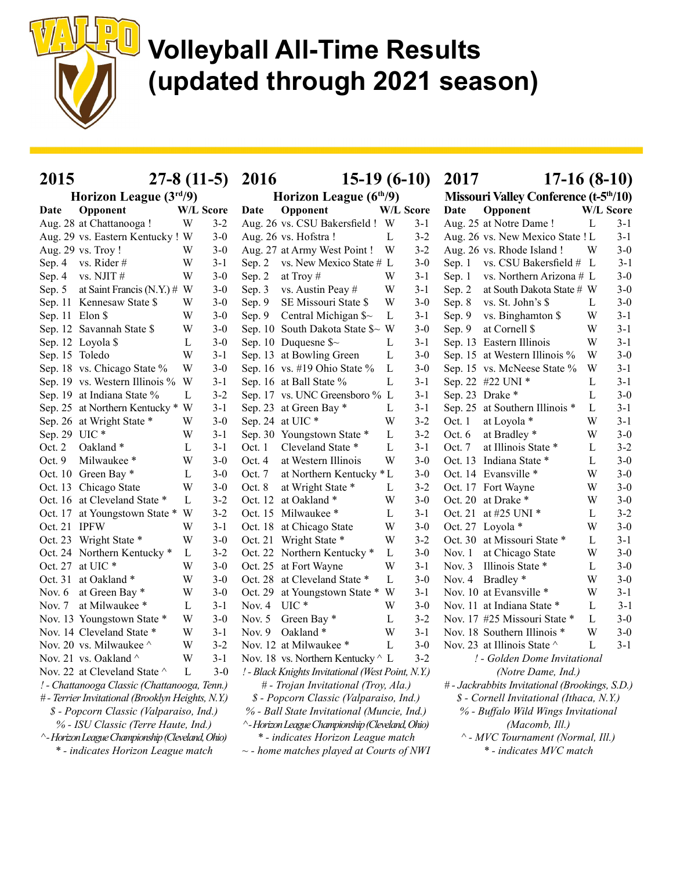

| 2015                                              |           | $27-8(11-5)$ | 2016                     | $15-19(6-10)$                                     |           |         | 2017<br>$17-16(8-10)$                                   |                                                |                  |         |  |
|---------------------------------------------------|-----------|--------------|--------------------------|---------------------------------------------------|-----------|---------|---------------------------------------------------------|------------------------------------------------|------------------|---------|--|
| Horizon League (3rd/9)                            |           |              | Horizon League $(6th/9)$ |                                                   |           |         | <b>Missouri Valley Conference (t-5<sup>th</sup>/10)</b> |                                                |                  |         |  |
| Opponent<br>Date                                  | W/L Score |              | Date                     | Opponent                                          | W/L Score |         | Date                                                    | Opponent                                       | <b>W/L Score</b> |         |  |
| Aug. 28 at Chattanooga!                           | W         | $3 - 2$      |                          | Aug. 26 vs. CSU Bakersfield ! W                   |           | $3 - 1$ |                                                         | Aug. 25 at Notre Dame!                         | L                | $3-1$   |  |
| Aug. 29 vs. Eastern Kentucky! W                   |           | $3-0$        |                          | Aug. 26 vs. Hofstra!                              | L         | $3 - 2$ |                                                         | Aug. 26 vs. New Mexico State ! L               |                  | $3-1$   |  |
| Aug. 29 vs. Troy!                                 | W         | $3-0$        |                          | Aug. 27 at Army West Point!                       | W         | $3 - 2$ |                                                         | Aug. 26 vs. Rhode Island !                     | W                | $3 - 0$ |  |
| Sep. 4 vs. Rider #                                | W         | $3-1$        | Sep. $2$                 | vs. New Mexico State # L                          |           | $3-0$   | Sep. 1                                                  | vs. CSU Bakersfield # L                        |                  | $3 - 1$ |  |
| vs. NJIT#<br>Sep. 4                               | W         | $3-0$        | Sep. 2                   | at Troy $#$                                       | W         | $3 - 1$ | Sep. 1                                                  | vs. Northern Arizona # L                       |                  | $3 - 0$ |  |
| at Saint Francis (N.Y.) $\#$ W<br>Sep. 5          |           | $3-0$        | Sep. 3                   | vs. Austin Peay #                                 | W         | $3 - 1$ | Sep. 2                                                  | at South Dakota State # W                      |                  | $3 - 0$ |  |
| Sep. 11 Kennesaw State \$                         | W         | $3-0$        | Sep. 9                   | SE Missouri State \$                              | W         | $3 - 0$ | Sep. 8                                                  | vs. St. John's \$                              | L                | $3 - 0$ |  |
| Sep. 11 Elon \$                                   | W         | $3-0$        | Sep. 9                   | Central Michigan $\sim$                           | L         | $3 - 1$ | Sep. 9                                                  | vs. Binghamton \$                              | W                | $3 - 1$ |  |
| Sep. 12 Savannah State \$                         | W         | $3-0$        |                          | Sep. 10 South Dakota State \$~ W                  |           | $3 - 0$ | Sep. 9                                                  | at Cornell \$                                  | W                | $3-1$   |  |
| Sep. 12 Loyola \$                                 | L         | $3-0$        |                          | Sep. 10 Duquesne $\sim$                           | L         | $3-1$   |                                                         | Sep. 13 Eastern Illinois                       | W                | $3 - 1$ |  |
| Sep. 15 Toledo                                    | W         | $3-1$        |                          | Sep. 13 at Bowling Green                          | L         | $3 - 0$ |                                                         | Sep. 15 at Western Illinois %                  | W                | $3-0$   |  |
| Sep. 18 vs. Chicago State %                       | W         | $3-0$        |                          | Sep. 16 vs. #19 Ohio State %                      | L         | $3 - 0$ |                                                         | Sep. 15 vs. McNeese State %                    | W                | $3-1$   |  |
| Sep. 19 vs. Western Illinois %                    | W         | $3 - 1$      |                          | Sep. 16 at Ball State %                           | L         | $3 - 1$ |                                                         | Sep. 22 #22 UNI *                              | L                | $3 - 1$ |  |
| Sep. 19 at Indiana State %                        | L         | $3 - 2$      |                          | Sep. 17 vs. UNC Greensboro % L                    |           | $3 - 1$ | Sep. 23 Drake *                                         |                                                | L                | $3-0$   |  |
| Sep. 25 at Northern Kentucky *                    | W         | $3-1$        |                          | Sep. 23 at Green Bay *                            | L         | $3-1$   |                                                         | Sep. 25 at Southern Illinois *                 | L                | $3 - 1$ |  |
| Sep. 26 at Wright State *                         | W         | $3-0$        |                          | Sep. 24 at UIC*                                   | W         | $3 - 2$ | Oct. 1                                                  | at Loyola *                                    | W                | $3 - 1$ |  |
| Sep. 29 UIC*                                      | W         | $3-1$        |                          | Sep. 30 Youngstown State *                        | L         | $3 - 2$ | Oct. 6                                                  | at Bradley *                                   | W                | $3 - 0$ |  |
| Oct. 2<br>Oakland*                                | L         | $3-1$        | Oct. 1                   | Cleveland State *                                 | L         | $3-1$   | Oct. 7                                                  | at Illinois State *                            | L                | $3 - 2$ |  |
| Oct. 9<br>Milwaukee*                              | W         | $3-0$        | Oct. 4                   | at Western Illinois                               | W         | $3 - 0$ |                                                         | Oct. 13 Indiana State *                        | L                | $3-0$   |  |
| Oct. 10 Green Bay *                               | L         | $3-0$        | Oct. 7                   | at Northern Kentucky * L                          |           | $3-0$   |                                                         | Oct. 14 Evansville *                           | W                | $3-0$   |  |
| Oct. 13 Chicago State                             | W         | $3-0$        | Oct. 8                   | at Wright State *                                 | L         | $3 - 2$ |                                                         | Oct. 17 Fort Wayne                             | W                | $3 - 0$ |  |
| Oct. 16 at Cleveland State *                      | L         | $3 - 2$      |                          | Oct. 12 at Oakland *                              | W         | $3-0$   |                                                         | Oct. 20 at Drake *                             | W                | $3 - 0$ |  |
| Oct. 17 at Youngstown State *                     | W         | $3 - 2$      |                          | Oct. 15 Milwaukee *                               | L         | $3 - 1$ |                                                         | Oct. 21 at #25 UNI $*$                         | L                | $3 - 2$ |  |
| Oct. 21 IPFW                                      | W         | $3-1$        |                          | Oct. 18 at Chicago State                          | W         | $3-0$   |                                                         | Oct. 27 Loyola *                               | W                | $3-0$   |  |
| Oct. 23 Wright State *                            | W         | $3-0$        |                          | Oct. 21 Wright State *                            | W         | $3 - 2$ |                                                         | Oct. 30 at Missouri State *                    | L                | $3 - 1$ |  |
| Oct. 24 Northern Kentucky *                       | L         | $3 - 2$      |                          | Oct. 22 Northern Kentucky *                       | L         | $3 - 0$ | Nov. $1$                                                | at Chicago State                               | W                | $3-0$   |  |
| Oct. 27 at UIC *                                  | W         | $3-0$        |                          | Oct. 25 at Fort Wayne                             | W         | $3-1$   | Nov. $3$                                                | Illinois State *                               | L                | $3 - 0$ |  |
| Oct. 31 at Oakland *                              | W         | $3-0$        |                          | Oct. 28 at Cleveland State *                      | L         | $3 - 0$ |                                                         | Nov. 4 Bradley *                               | W                | $3 - 0$ |  |
| at Green Bay *<br>Nov. $6$                        | W         | $3-0$        | Oct. 29                  | at Youngstown State * W                           |           | $3-1$   |                                                         | Nov. 10 at Evansville *                        | W                | $3 - 1$ |  |
| at Milwaukee *<br>Nov. $7$                        | L         | $3-1$        | Nov. $4$                 | $UIC*$                                            | W         | $3 - 0$ |                                                         | Nov. 11 at Indiana State *                     | L                | $3 - 1$ |  |
| Nov. 13 Youngstown State *                        | W         | $3-0$        | Nov. $5$                 | Green Bay *                                       | L         | $3 - 2$ |                                                         | Nov. 17 #25 Missouri State *                   | L                | $3-0$   |  |
| Nov. 14 Cleveland State *                         | W         | $3 - 1$      | Nov. $9$                 | Oakland*                                          | W         | $3-1$   |                                                         | Nov. 18 Southern Illinois *                    | W                | $3 - 0$ |  |
| Nov. 20 vs. Milwaukee $\wedge$                    | W         | $3 - 2$      |                          | Nov. 12 at Milwaukee *                            | L         | $3-0$   |                                                         | Nov. 23 at Illinois State ^                    | $\mathbf{L}$     | $3 - 1$ |  |
| Nov. 21 vs. Oakland ^                             | W         | $3 - 1$      |                          | Nov. 18 vs. Northern Kentucky $\wedge$ L          |           | $3 - 2$ |                                                         | ! - Golden Dome Invitational                   |                  |         |  |
| Nov. 22 at Cleveland State ^                      | L         | $3-0$        |                          | ! - Black Knights Invitational (West Point, N.Y.) |           |         |                                                         | (Notre Dame, Ind.)                             |                  |         |  |
| ! - Chattanooga Classic (Chattanooga, Tenn.)      |           |              |                          | # - Trojan Invitational (Troy, Ala.)              |           |         |                                                         | # - Jackrabbits Invitational (Brookings, S.D.) |                  |         |  |
| # - Terrier Invitational (Brooklyn Heights, N.Y.) |           |              |                          | \$ - Popcorn Classic (Valparaiso, Ind.)           |           |         |                                                         | \$ - Cornell Invitational (Ithaca, N.Y.)       |                  |         |  |
| \$ - Popcorn Classic (Valparaiso, Ind.)           |           |              |                          | % - Ball State Invitational (Muncie, Ind.)        |           |         |                                                         | % - Buffalo Wild Wings Invitational            |                  |         |  |
| % - ISU Classic (Terre Haute, Ind.)               |           |              |                          | ^- Horizon League Championship (Cleveland, Ohio)  |           |         |                                                         | (Macomb, Ill.)                                 |                  |         |  |
| ^- Horizon League Championship (Cleveland, Ohio)  |           |              |                          | * - indicates Horizon League match                |           |         |                                                         | ^ - MVC Tournament (Normal, Ill.)              |                  |         |  |
| * - indicates Horizon League match                |           |              |                          | $\sim$ - home matches played at Courts of NWI     |           |         |                                                         | * - indicates MVC match                        |                  |         |  |
|                                                   |           |              |                          |                                                   |           |         |                                                         |                                                |                  |         |  |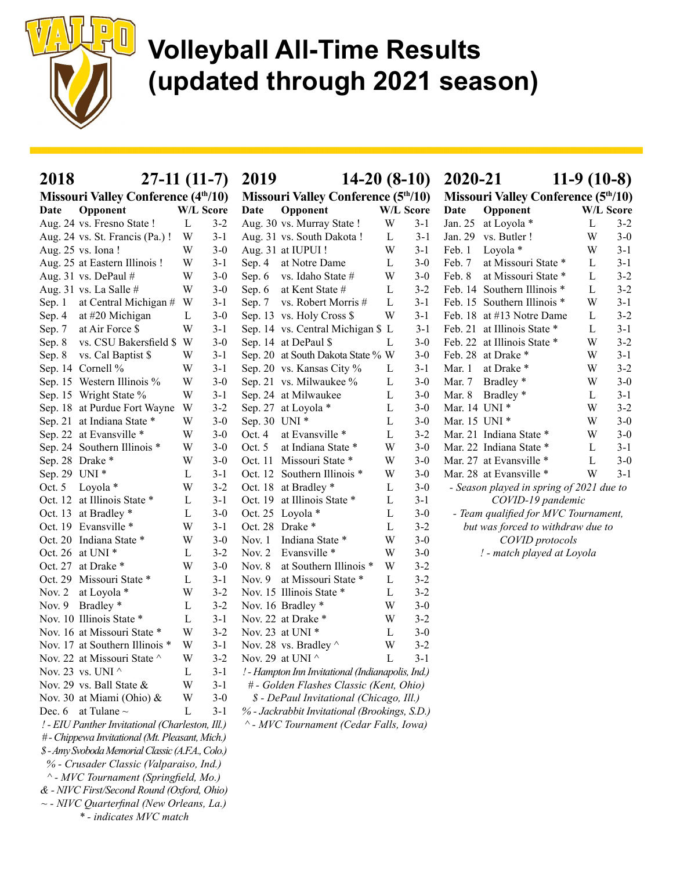

| 2018                                              | $27-11(11-7)$ |           | 2019                                              | $14-20(8-10)$ | 2020-21<br>$11-9(10-8)$                    |                                          |                        |  |  |  |
|---------------------------------------------------|---------------|-----------|---------------------------------------------------|---------------|--------------------------------------------|------------------------------------------|------------------------|--|--|--|
| <b>Missouri Valley Conference (4th/10)</b>        |               |           | <b>Missouri Valley Conference (5th/10)</b>        |               | <b>Missouri Valley Conference (5th/10)</b> |                                          |                        |  |  |  |
| Opponent<br>Date                                  |               | W/L Score | Opponent<br>Date                                  | W/L Score     |                                            | Opponent<br>Date                         | W/L Score              |  |  |  |
| Aug. 24 vs. Fresno State !                        | $\mathbf{L}$  | $3 - 2$   | Aug. 30 vs. Murray State !                        | W             | $3-1$                                      | Jan. 25<br>at Loyola *                   | L<br>$3 - 2$           |  |  |  |
| Aug. 24 vs. St. Francis (Pa.) !                   | W             | $3-1$     | Aug. 31 vs. South Dakota !                        | L             | $3 - 1$                                    | Jan. 29<br>vs. Butler!                   | W<br>$3-0$             |  |  |  |
| Aug. 25 vs. Iona !                                | W             | $3-0$     | Aug. 31 at IUPUI!                                 | W             | $3-1$                                      | Loyola *<br>Feb. 1                       | W<br>$3 - 1$           |  |  |  |
| Aug. 25 at Eastern Illinois !                     | W             | $3-1$     | Sep. 4<br>at Notre Dame                           | L             | $3-0$                                      | at Missouri State *<br>Feb. 7            | $3 - 1$<br>L           |  |  |  |
| Aug. 31 vs. DePaul $#$                            | W             | $3-0$     | vs. Idaho State #<br>Sep. 6                       | W             | $3-0$                                      | at Missouri State *<br>Feb. 8            | $3 - 2$<br>L           |  |  |  |
| Aug. 31 vs. La Salle #                            | W             | $3-0$     | at Kent State #<br>Sep. 6                         | L             | $3 - 2$                                    | Feb. 14 Southern Illinois *              | $3 - 2$<br>L           |  |  |  |
| at Central Michigan #<br>Sep. 1                   | W             | $3-1$     | vs. Robert Morris #<br>Sep. $7$                   | L             | $3 - 1$                                    | Feb. 15 Southern Illinois *              | W<br>$3 - 1$           |  |  |  |
| at #20 Michigan<br>Sep. 4                         | L             | $3-0$     | Sep. 13 vs. Holy Cross \$                         | W             | $3 - 1$                                    | Feb. 18 at #13 Notre Dame                | $3 - 2$<br>L           |  |  |  |
| at Air Force \$<br>Sep. 7                         | W             | $3-1$     | Sep. 14 vs. Central Michigan \$ L                 |               | $3-1$                                      | Feb. 21 at Illinois State *              | L<br>$3 - 1$           |  |  |  |
| vs. CSU Bakersfield \$<br>Sep. 8                  | W             | $3-0$     | Sep. 14 at DePaul \$                              | L             | $3-0$                                      | Feb. 22 at Illinois State *              | $3 - 2$<br>W           |  |  |  |
| vs. Cal Baptist \$<br>Sep. 8                      | W             | $3-1$     | Sep. 20 at South Dakota State % W                 |               | $3-0$                                      | Feb. 28 at Drake *                       | $3-1$<br>W             |  |  |  |
| Sep. 14 Cornell %                                 | W             | $3-1$     | Sep. 20 vs. Kansas City %                         | L             | $3 - 1$                                    | Mar. 1<br>at Drake *                     | $3 - 2$<br>W           |  |  |  |
| Sep. 15 Western Illinois %                        | W             | $3-0$     | Sep. 21 vs. Milwaukee %                           | $\mathbf{L}$  | $3-0$                                      | Bradley <sup>*</sup><br>Mar. 7           | W<br>$3-0$             |  |  |  |
| Sep. 15 Wright State %                            | W             | $3-1$     | Sep. 24 at Milwaukee                              | L             | $3-0$                                      | Bradley *<br>Mar. 8                      | $3 - 1$<br>L           |  |  |  |
| Sep. 18 at Purdue Fort Wayne                      | W             | $3-2$     | Sep. 27 at Loyola *                               | L             | $3 - 0$                                    | Mar. 14 UNI *                            | $3 - 2$<br>W           |  |  |  |
| Sep. 21 at Indiana State *                        | W             | $3-0$     | Sep. 30 UNI *                                     | L             | $3-0$                                      | Mar. 15 UNI *                            | W<br>$3 - 0$           |  |  |  |
| Sep. 22 at Evansville *                           | W             | $3-0$     | Oct. 4<br>at Evansville *                         | $\mathbf{L}$  | $3 - 2$                                    | Mar. 21 Indiana State *                  | W<br>$3-0$             |  |  |  |
| Sep. 24 Southern Illinois *                       | W             | $3 - 0$   | at Indiana State *<br>Oct. 5                      | W             | $3 - 0$                                    | Mar. 22 Indiana State *                  | $3 - 1$<br>L           |  |  |  |
| Sep. 28 Drake *                                   | W             | $3 - 0$   | Oct. 11 Missouri State *                          | W             | $3 - 0$                                    | Mar. 27 at Evansville *                  | $\mathbf L$<br>$3 - 0$ |  |  |  |
| Sep. 29 UNI *                                     | L             | $3-1$     | Oct. 12 Southern Illinois *                       | W             | $3-0$                                      | Mar. 28 at Evansville *                  | $3 - 1$<br>W           |  |  |  |
| Oct. 5 Loyola *                                   | W             | $3 - 2$   | Oct. 18 at Bradley *                              | L             | $3 - 0$                                    | - Season played in spring of 2021 due to |                        |  |  |  |
| Oct. 12 at Illinois State *                       | L             | $3-1$     | Oct. 19 at Illinois State *                       | L             | $3-1$                                      | COVID-19 pandemic                        |                        |  |  |  |
| Oct. 13 at Bradley *                              | L             | $3 - 0$   | Oct. 25 Loyola *                                  | L             | $3-0$                                      | - Team qualified for MVC Tournament,     |                        |  |  |  |
| Oct. 19 Evansville *                              | W             | $3-1$     | Oct. 28 Drake *                                   | L             | $3 - 2$                                    | but was forced to withdraw due to        |                        |  |  |  |
| Oct. 20 Indiana State *                           | W             | $3 - 0$   | Indiana State *<br>Nov. 1                         | W             | $3 - 0$                                    | COVID protocols                          |                        |  |  |  |
| Oct. 26 at UNI *                                  | L             | $3 - 2$   | Nov. $2$<br>Evansville *                          | W             | $3 - 0$                                    | ! - match played at Loyola               |                        |  |  |  |
| Oct. 27 at Drake *                                | W             | $3 - 0$   | Nov. 8<br>at Southern Illinois *                  | W             | $3 - 2$                                    |                                          |                        |  |  |  |
| Oct. 29 Missouri State *                          | L             | $3 - 1$   | at Missouri State *<br>Nov. $9$                   | L             | $3 - 2$                                    |                                          |                        |  |  |  |
| Nov. 2 at Loyola *                                | W             | $3 - 2$   | Nov. 15 Illinois State *                          | L             | $3 - 2$                                    |                                          |                        |  |  |  |
| Nov. 9 Bradley *                                  | L             | $3 - 2$   | Nov. 16 Bradley *                                 | W             | $3-0$                                      |                                          |                        |  |  |  |
| Nov. 10 Illinois State *                          | L             | $3-1$     | Nov. 22 at Drake *                                | W             | $3 - 2$                                    |                                          |                        |  |  |  |
| Nov. 16 at Missouri State *                       | W             | $3 - 2$   | Nov. 23 at UNI *                                  | L             | $3 - 0$                                    |                                          |                        |  |  |  |
| Nov. 17 at Southern Illinois *                    | W             | $3 - 1$   | Nov. 28 vs. Bradley ^                             | W             | $3 - 2$                                    |                                          |                        |  |  |  |
| Nov. 22 at Missouri State ^                       | W             | $3 - 2$   | Nov. 29 at UNI $^\wedge$                          | L             | $3 - 1$                                    |                                          |                        |  |  |  |
| Nov. 23 vs. UNI $\wedge$                          | L             | $3-1$     | ! - Hampton Inn Invitational (Indianapolis, Ind.) |               |                                            |                                          |                        |  |  |  |
| Nov. 29 vs. Ball State &                          | W             | $3 - 1$   | # - Golden Flashes Classic (Kent, Ohio)           |               |                                            |                                          |                        |  |  |  |
| Nov. 30 at Miami (Ohio) &                         | W             | $3-0$     | \$ - DePaul Invitational (Chicago, Ill.)          |               |                                            |                                          |                        |  |  |  |
| Dec. 6 at Tulane $\sim$                           | L             | $3-1$     | % - Jackrabbit Invitational (Brookings, S.D.)     |               |                                            |                                          |                        |  |  |  |
| ! - EIU Panther Invitational (Charleston, Ill.)   |               |           | ^ - MVC Tournament (Cedar Falls, Iowa)            |               |                                            |                                          |                        |  |  |  |
| # - Chippewa Invitational (Mt. Pleasant, Mich.)   |               |           |                                                   |               |                                            |                                          |                        |  |  |  |
| \$ - Amy Svoboda Memorial Classic (A.F.A., Colo.) |               |           |                                                   |               |                                            |                                          |                        |  |  |  |
| % - Crusader Classic (Valparaiso, Ind.)           |               |           |                                                   |               |                                            |                                          |                        |  |  |  |
| ^ - MVC Tournament (Springfield, Mo.)             |               |           |                                                   |               |                                            |                                          |                        |  |  |  |
| & - NIVC First/Second Round (Oxford, Ohio)        |               |           |                                                   |               |                                            |                                          |                        |  |  |  |
| $\sim$ - NIVC Quarterfinal (New Orleans, La.)     |               |           |                                                   |               |                                            |                                          |                        |  |  |  |

\* - indicates MVC match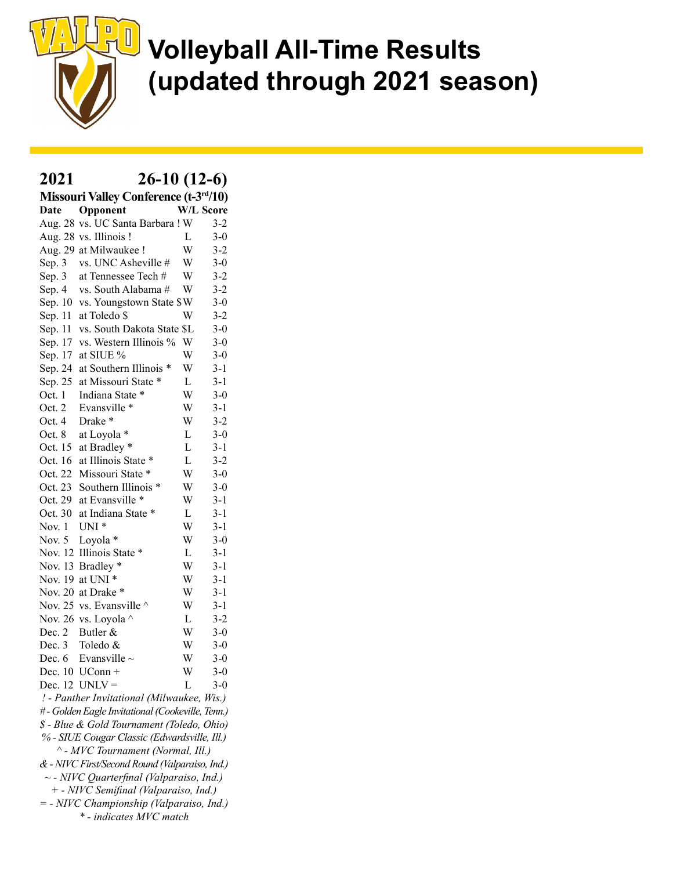

#### 2021 26-10 (12-6)

| Missouri Valley Conference (t-3rd/10) |                                                  |             |                  |  |  |  |  |  |  |  |  |
|---------------------------------------|--------------------------------------------------|-------------|------------------|--|--|--|--|--|--|--|--|
| Date                                  | Opponent                                         |             | <b>W/L Score</b> |  |  |  |  |  |  |  |  |
|                                       | Aug. 28 vs. UC Santa Barbara ! W                 |             | $3-2$            |  |  |  |  |  |  |  |  |
|                                       | Aug. 28 vs. Illinois !                           | L           | $3 - 0$          |  |  |  |  |  |  |  |  |
|                                       | Aug. 29 at Milwaukee!                            | W           | $3-2$            |  |  |  |  |  |  |  |  |
| Sep. 3                                | vs. UNC Asheville #                              | W           | $3 - 0$          |  |  |  |  |  |  |  |  |
| Sep. 3                                | at Tennessee Tech #                              | W           | $3 - 2$          |  |  |  |  |  |  |  |  |
| Sep. 4                                | vs. South Alabama #                              | W           | $3 - 2$          |  |  |  |  |  |  |  |  |
| Sep. 10                               | vs. Youngstown State \$W                         |             | $3-0$            |  |  |  |  |  |  |  |  |
| Sep. 11                               | at Toledo \$                                     | W           | $3 - 2$          |  |  |  |  |  |  |  |  |
| Sep. 11                               | vs. South Dakota State \$L                       |             | $3 - 0$          |  |  |  |  |  |  |  |  |
| Sep. 17                               | vs. Western Illinois %                           | W           | $3 - 0$          |  |  |  |  |  |  |  |  |
| Sep. 17                               | at SIUE %                                        | W           | $3 - 0$          |  |  |  |  |  |  |  |  |
| Sep. 24                               | at Southern Illinois *                           | W           | $3-1$            |  |  |  |  |  |  |  |  |
| Sep. 25                               | at Missouri State *                              | L           | $3 - 1$          |  |  |  |  |  |  |  |  |
| Oct. 1                                | Indiana State *                                  | W           | $3 - 0$          |  |  |  |  |  |  |  |  |
| Oct. 2                                | Evansville *                                     | W           | $3-1$            |  |  |  |  |  |  |  |  |
| Oct. 4                                | Drake*                                           | W           | $3 - 2$          |  |  |  |  |  |  |  |  |
| Oct. 8                                | at Loyola *                                      | L           | $3 - 0$          |  |  |  |  |  |  |  |  |
| Oct. 15                               | at Bradley *                                     | L           | $3 - 1$          |  |  |  |  |  |  |  |  |
| Oct. 16                               | at Illinois State *                              | L           | $3 - 2$          |  |  |  |  |  |  |  |  |
| Oct. 22                               | Missouri State *                                 | W           | $3 - 0$          |  |  |  |  |  |  |  |  |
| Oct. 23                               | Southern Illinois *                              | W           | $3 - 0$          |  |  |  |  |  |  |  |  |
| Oct. 29                               | at Evansville *                                  | W           | $3 - 1$          |  |  |  |  |  |  |  |  |
| Oct. 30                               | at Indiana State *                               | $\mathbf L$ | $3 - 1$          |  |  |  |  |  |  |  |  |
| Nov. 1                                | UNI <sup>*</sup>                                 | W           | $3 - 1$          |  |  |  |  |  |  |  |  |
| Nov. 5                                | Loyola *                                         | W           | $3-0$            |  |  |  |  |  |  |  |  |
| Nov. 12                               | Illinois State *                                 | L           | $3 - 1$          |  |  |  |  |  |  |  |  |
| Nov. 13                               | Bradley *                                        | W           | $3 - 1$          |  |  |  |  |  |  |  |  |
| Nov. 19                               | at UNI <sup>*</sup>                              | W           | $3 - 1$          |  |  |  |  |  |  |  |  |
| <b>Nov. 20</b>                        | at Drake *                                       | W           | $3 - 1$          |  |  |  |  |  |  |  |  |
| Nov. 25                               | vs. Evansville ^                                 | W           | $3 - 1$          |  |  |  |  |  |  |  |  |
| Nov. 26                               | vs. Loyola ^                                     | $\mathbf L$ | $3 - 2$          |  |  |  |  |  |  |  |  |
| Dec. 2                                | Butler &                                         | W           | $3 - 0$          |  |  |  |  |  |  |  |  |
| Dec. 3                                | Toledo &                                         | W           | $3 - 0$          |  |  |  |  |  |  |  |  |
| Dec. 6                                | Evansville $\sim$                                | W           | $3 - 0$          |  |  |  |  |  |  |  |  |
|                                       | Dec. 10 UConn +                                  | W           | $3 - 0$          |  |  |  |  |  |  |  |  |
|                                       | Dec. $12$ UNLV =                                 | L           | $3 - 0$          |  |  |  |  |  |  |  |  |
|                                       | ! - Panther Invitational (Milwaukee, Wis.)       |             |                  |  |  |  |  |  |  |  |  |
|                                       | #- Golden Eagle Invitational (Cookeville, Tenn.) |             |                  |  |  |  |  |  |  |  |  |
|                                       | \$ - Blue & Gold Tournament (Toledo, Ohio)       |             |                  |  |  |  |  |  |  |  |  |

- % SIUE Cougar Classic (Edwardsville, Ill.) ^ - MVC Tournament (Normal, Ill.)
- & NIVC First/Second Round (Valparaiso, Ind.)
- $\sim$  NIVC Quarterfinal (Valparaiso, Ind.)
- + NIVC Semifinal (Valparaiso, Ind.)
- = NIVC Championship (Valparaiso, Ind.) \* - indicates MVC match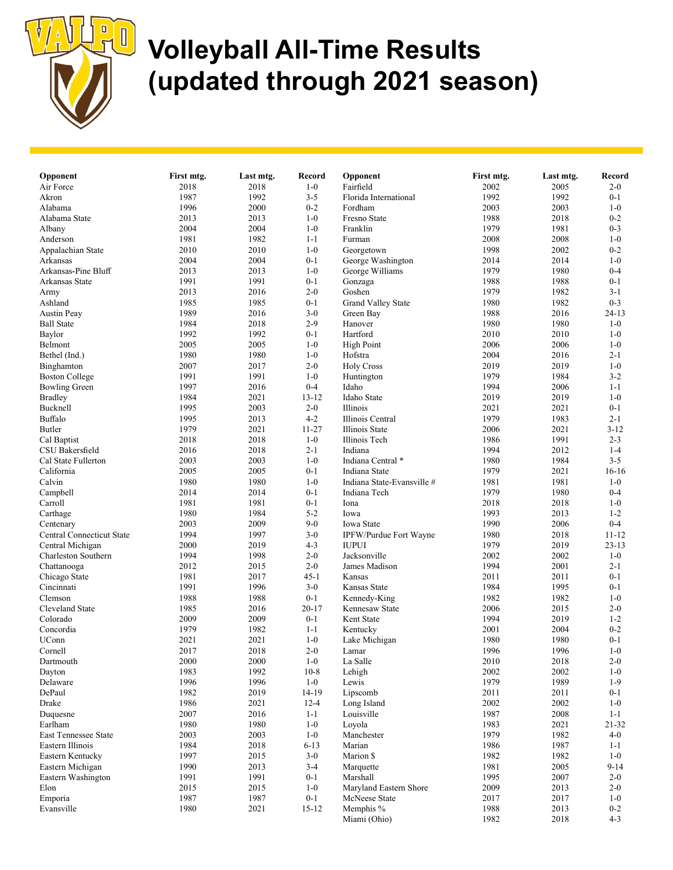

| Opponent                         | First mtg. | Last mtg. | <b>Record</b> | Opponent                   | First mtg. | Last mtg. | Record    |
|----------------------------------|------------|-----------|---------------|----------------------------|------------|-----------|-----------|
| Air Force                        | 2018       | 2018      | $1-0$         | Fairfield                  | 2002       | 2005      | $2 - 0$   |
| Akron                            | 1987       | 1992      | $3 - 5$       | Florida International      | 1992       | 1992      | $0 - 1$   |
| Alabama                          | 1996       | 2000      | $0 - 2$       | Fordham                    | 2003       | 2003      | $1-0$     |
| Alabama State                    | 2013       | 2013      | $1-0$         | Fresno State               | 1988       | 2018      | $0 - 2$   |
| Albany                           | 2004       | 2004      | $1-0$         | Franklin                   | 1979       | 1981      | $0 - 3$   |
| Anderson                         | 1981       | 1982      | $1 - 1$       | Furman                     | 2008       | 2008      | $1-0$     |
| Appalachian State                | 2010       | 2010      | $1-0$         | Georgetown                 | 1998       | 2002      | $0 - 2$   |
| Arkansas                         | 2004       | 2004      | $0 - 1$       | George Washington          | 2014       | 2014      | $1-0$     |
| Arkansas-Pine Bluff              | 2013       | 2013      | $1-0$         | George Williams            | 1979       | 1980      | $0 - 4$   |
| Arkansas State                   | 1991       | 1991      | $0 - 1$       | Gonzaga                    | 1988       | 1988      | $0 - 1$   |
| Army                             | 2013       | 2016      | $2 - 0$       | Goshen                     | 1979       | 1982      | $3 - 1$   |
| Ashland                          | 1985       | 1985      | $0 - 1$       | <b>Grand Valley State</b>  | 1980       | 1982      | $0 - 3$   |
| <b>Austin Peay</b>               | 1989       | 2016      | $3-0$         | Green Bay                  | 1988       | 2016      | $24 - 13$ |
| <b>Ball State</b>                | 1984       | 2018      | $2-9$         | Hanover                    | 1980       | 1980      | $1-0$     |
| Baylor                           | 1992       | 1992      | $0 - 1$       | Hartford                   | 2010       | 2010      | $1-0$     |
| Belmont                          | 2005       | 2005      | $1-0$         | <b>High Point</b>          | 2006       | 2006      | $1-0$     |
| Bethel (Ind.)                    | 1980       | 1980      | $1-0$         | Hofstra                    | 2004       | 2016      | $2 - 1$   |
| Binghamton                       | 2007       | 2017      | $2 - 0$       | <b>Holy Cross</b>          | 2019       | 2019      | $1-0$     |
| <b>Boston College</b>            | 1991       | 1991      | $1-0$         | Huntington                 | 1979       | 1984      | $3 - 2$   |
| <b>Bowling Green</b>             | 1997       | 2016      | $0 - 4$       | Idaho                      | 1994       | 2006      | $1 - 1$   |
| <b>Bradley</b>                   | 1984       | 2021      | $13 - 12$     | Idaho State                | 2019       | 2019      | $1-0$     |
| Bucknell                         | 1995       | 2003      | $2 - 0$       | Illinois                   | 2021       | 2021      | $0 - 1$   |
| Buffalo                          | 1995       | 2013      | $4 - 2$       | Illinois Central           | 1979       | 1983      | $2 - 1$   |
| Butler                           | 1979       | 2021      | $11 - 27$     | Illinois State             | 2006       | 2021      | $3 - 12$  |
| Cal Baptist                      | 2018       | 2018      | $1-0$         | Illinois Tech              | 1986       | 1991      | $2 - 3$   |
| CSU Bakersfield                  | 2016       | 2018      | $2 - 1$       | Indiana                    | 1994       | 2012      | $1 - 4$   |
| Cal State Fullerton              | 2003       | 2003      | $1-0$         | Indiana Central *          | 1980       | 1984      | $3 - 5$   |
| California                       | 2005       | 2005      | $0 - 1$       | Indiana State              | 1979       | 2021      | $16-16$   |
| Calvin                           | 1980       | 1980      | $1-0$         | Indiana State-Evansville # | 1981       | 1981      | $1-0$     |
| Campbell                         | 2014       | 2014      | $0 - 1$       | Indiana Tech               | 1979       | 1980      | $0 - 4$   |
| Carroll                          | 1981       | 1981      | $0 - 1$       | Iona                       | 2018       | 2018      | $1-0$     |
| Carthage                         | 1980       | 1984      | $5 - 2$       | Iowa                       | 1993       | 2013      | $1 - 2$   |
| Centenary                        | 2003       | 2009      | $9-0$         | Iowa State                 | 1990       | 2006      | $0 - 4$   |
| <b>Central Connecticut State</b> | 1994       | 1997      | $3-0$         | IPFW/Purdue Fort Wayne     | 1980       | 2018      | $11 - 12$ |
| Central Michigan                 | 2000       | 2019      | $4 - 3$       | <b>IUPUI</b>               | 1979       | 2019      | $23 - 13$ |
| Charleston Southern              | 1994       | 1998      | $2 - 0$       | Jacksonville               | 2002       | 2002      | $1-0$     |
| Chattanooga                      | 2012       | 2015      | $2 - 0$       | James Madison              | 1994       | 2001      | $2 - 1$   |
| Chicago State                    | 1981       | 2017      | $45-1$        | Kansas                     | 2011       | 2011      | $0 - 1$   |
| Cincinnati                       | 1991       | 1996      | $3-0$         | Kansas State               | 1984       | 1995      | $0 - 1$   |
| Clemson                          | 1988       | 1988      | $0 - 1$       | Kennedy-King               | 1982       | 1982      | $1-0$     |
| Cleveland State                  | 1985       | 2016      | $20 - 17$     | Kennesaw State             | 2006       | 2015      | $2 - 0$   |
| Colorado                         | 2009       | 2009      | $0 - 1$       | Kent State                 | 1994       | 2019      | $1 - 2$   |
| Concordia                        | 1979       | 1982      | $1 - 1$       | Kentucky                   | 2001       | 2004      | $0 - 2$   |
| UConn                            | 2021       | 2021      | $1-0$         | Lake Michigan              | 1980       | 1980      | $0 - 1$   |
| Cornell                          | 2017       | 2018      | $2 - 0$       | Lamar                      | 1996       | 1996      | $1-0$     |
| Dartmouth                        | $2000\,$   | 2000      | $1-0$         | La Salle                   | 2010       | 2018      | $2 - 0$   |
| Dayton                           | 1983       | 1992      | $10 - 8$      | Lehigh                     | 2002       | 2002      | $1-0$     |
| Delaware                         | 1996       | 1996      | $1-0$         | Lewis                      | 1979       | 1989      | $1-9$     |
| DePaul                           | 1982       | 2019      | 14-19         | Lipscomb                   | 2011       | 2011      | $0 - 1$   |
| Drake                            | 1986       | 2021      | $12 - 4$      | Long Island                | 2002       | 2002      | $1-0$     |
| Duquesne                         | 2007       | 2016      | $1 - 1$       | Louisville                 | 1987       | 2008      | $1 - 1$   |
| Earlham                          | 1980       | 1980      | $1-0$         | Loyola                     | 1983       | 2021      | $21 - 32$ |
| <b>East Tennessee State</b>      | 2003       | 2003      | $1-0$         | Manchester                 | 1979       | 1982      | $4 - 0$   |
| Eastern Illinois                 | 1984       | 2018      | $6 - 13$      | Marian                     | 1986       | 1987      | $1 - 1$   |
| Eastern Kentucky                 | 1997       | 2015      | $3-0$         | Marion \$                  | 1982       | 1982      | $1-0$     |
| Eastern Michigan                 | 1990       | 2013      | 3-4           | Marquette                  | 1981       | 2005      | $9 - 14$  |
| Eastern Washington               | 1991       | 1991      | $0 - 1$       | Marshall                   | 1995       | 2007      | $2 - 0$   |
| Elon                             | 2015       | 2015      | $1-0$         | Maryland Eastern Shore     | 2009       | 2013      | $2 - 0$   |
| Emporia                          | 1987       | 1987      | $0 - 1$       | McNeese State              | 2017       | 2017      | $1-0$     |
| Evansville                       | 1980       | 2021      | $15 - 12$     | Memphis %                  | 1988       | 2013      | $0 - 2$   |
|                                  |            |           |               | Miami (Ohio)               | 1982       | 2018      | $4 - 3$   |